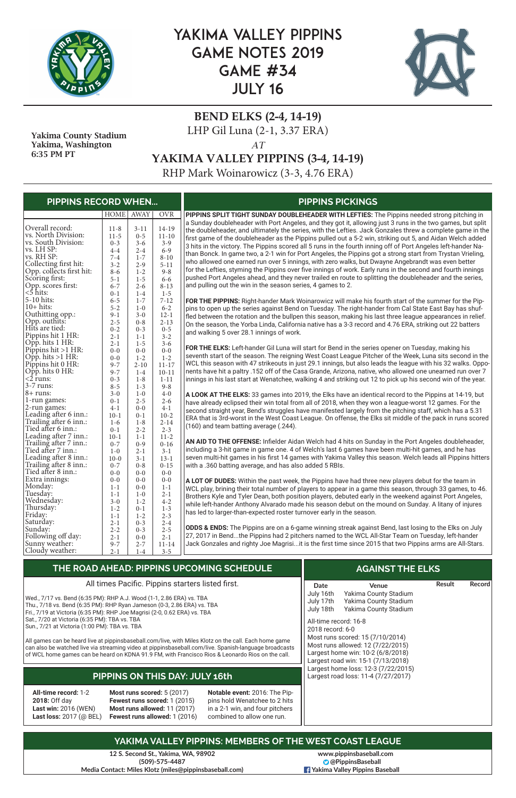

# YAKIMA VALLEY PIPPINS GAME NOTES 2019 GAME #34 JULY 16



### **BEND ELKS (2-4, 14-19)** LHP Gil Luna (2-1, 3.37 ERA) *AT*

**YAKIMA VALLEY PIPPINS (3-4, 14-19)**

RHP Mark Woinarowicz (3-3, 4.76 ERA)

**12 S. Second St., Yakima, WA, 98902 (509)-575-4487 Media Contact: Miles Klotz (miles@pippinsbaseball.com)**

 Yakima County Stadium Yakima, Washington 6:35 PM PT

|                                | HOME   AWAY |          | <b>OVR</b> | PIPPINS SPLIT TIGHT SUNDAY DOUBLEHEADER WITH LEFTIES: The Pippins needed strong pitching in                   |
|--------------------------------|-------------|----------|------------|---------------------------------------------------------------------------------------------------------------|
|                                |             |          |            | a Sunday doubleheader with Port Angeles, and they got it, allowing just 3 runs in the two games, but split    |
| Overall record:                | $11 - 8$    | $3 - 11$ | $14 - 19$  | the doubleheader, and ultimately the series, with the Lefties. Jack Gonzales threw a complete game in the     |
| vs. North Division:            | $11-5$      | $0 - 5$  | $11 - 10$  | first game of the doubleheader as the Pippins pulled out a 5-2 win, striking out 5, and Aidan Welch added     |
| vs. South Division:            | $0 - 3$     | $3 - 6$  | $3 - 9$    | 3 hits in the victory. The Pippins scored all 5 runs in the fourth inning off of Port Angeles left-hander Na- |
| vs. LH SP:                     | $4 - 4$     | $2 - 4$  | $6 - 9$    | than Bonck. In game two, a 2-1 win for Port Angeles, the Pippins got a strong start from Trystan Vrieling,    |
| vs. RH SP:                     | $7 - 4$     | $1 - 7$  | $8 - 10$   |                                                                                                               |
| Collecting first hit:          | $3 - 2$     | $2 - 9$  | $5 - 11$   | who allowed one earned run over 5 innings, with zero walks, but Dwayne Angebrandt was even better             |
| Opp. collects first hit:       | $8 - 6$     | $1 - 2$  | $9 - 8$    | for the Lefties, styming the Pippins over five innings of work. Early runs in the second and fourth innings   |
| Scoring first:                 | $5 - 1$     | $1 - 5$  | $6 - 6$    | pushed Port Angeles ahead, and they never trailed en route to splitting the doubleheader and the series,      |
| Opp. scores first:<br><5 hits: | $6 - 7$     | $2 - 6$  | $8 - 13$   | and pulling out the win in the season series, 4 games to 2.                                                   |
|                                | $0 - 1$     | $1-4$    | $1 - 5$    |                                                                                                               |
| 5-10 hits:                     | $6 - 5$     | $1 - 7$  | $7 - 12$   | FOR THE PIPPINS: Right-hander Mark Woinarowicz will make his fourth start of the summer for the Pip-          |
| $10+$ hits:                    | $5 - 2$     | $1-0$    | $6 - 2$    | pins to open up the series against Bend on Tuesday. The right-hander from Cal State East Bay has shuf-        |
| Outhitting opp.:               | $9 - 1$     | $3 - 0$  | $12 - 1$   | fled between the rotation and the bullpen this season, making his last three league appearances in relief.    |
| Opp. outhits:                  | $2 - 5$     | $0 - 8$  | $2 - 13$   |                                                                                                               |
| Hits are tied:                 | $0 - 2$     | $0 - 3$  | $0 - 5$    | On the season, the Yorba Linda, California native has a 3-3 record and 4.76 ERA, striking out 22 batters      |
| Pippins hit 1 HR:              | $2 - 1$     | $1 - 1$  | $3 - 2$    | and walking 5 over 28.1 innings of work.                                                                      |
| Opp. hits 1 HR:                | $2 - 1$     | $1 - 5$  | $3 - 6$    |                                                                                                               |
| Pippins hit $>1$ HR:           | $0-0$       | $0-0$    | $0 - 0$    | FOR THE ELKS: Left-hander Gil Luna will start for Bend in the series opener on Tuesday, making his            |
| Opp. hits $>1$ HR:             | $0 - 0$     | $1 - 2$  | $1 - 2$    | seventh start of the season. The reigning West Coast League Pitcher of the Week, Luna sits second in the      |
| Pippins hit 0 HR:              | $9 - 7$     | $2 - 10$ | $11 - 17$  | WCL this season with 47 strikeouts in just 29.1 innings, but also leads the league with his 32 walks. Oppo-   |
| Opp. hits 0 HR:                | $9 - 7$     | $1 - 4$  | $10 - 11$  | nents have hit a paltry .152 off of the Casa Grande, Arizona, native, who allowed one unearned run over 7     |
| $\langle 2 \rangle$ runs:      | $0 - 3$     | $1 - 8$  | $1 - 11$   | innings in his last start at Wenatchee, walking 4 and striking out 12 to pick up his second win of the year.  |
| 3-7 runs:                      | $8 - 5$     | $1 - 3$  | $9 - 8$    |                                                                                                               |
| $8 + \text{runs:}$             | $3 - 0$     | $1 - 0$  | $4 - 0$    | A LOOK AT THE ELKS: 33 games into 2019, the Elks have an identical record to the Pippins at 14-19, but        |
| 1-run games:                   | $0 - 1$     | $2 - 5$  | $2 - 6$    | have already eclipsed their win total from all of 2018, when they won a league-worst 12 games. For the        |
| 2-run games:                   | $4 - 1$     | $0 - 0$  | $4 - 1$    |                                                                                                               |
| Leading after 6 inn.:          | $10-1$      | $0 - 1$  | $10-2$     | second straight year, Bend's struggles have manifested largely from the pitching staff, which has a 5.31      |
| Trailing after 6 inn.:         | $1-6$       | $1 - 8$  | $2 - 14$   | ERA that is 3rd-worst in the West Coast League. On offense, the Elks sit middle of the pack in runs scored    |
| Tied after 6 inn.:             | $0 - 1$     | $2 - 2$  | $2 - 3$    | (160) and team batting average (.244).                                                                        |
| Leading after 7 inn.:          | $10-1$      | $1 - 1$  | $11-2$     |                                                                                                               |
| Trailing after 7 inn.:         | $0 - 7$     | $0 - 9$  | $0 - 16$   | AN AID TO THE OFFENSE: Infielder Aidan Welch had 4 hits on Sunday in the Port Angeles doubleheader,           |
| Tied after 7 inn.:             | $1-0$       | $2 - 1$  | $3 - 1$    | including a 3-hit game in game one. 4 of Welch's last 6 games have been multi-hit games, and he has           |
| Leading after 8 inn.:          | $10-0$      | $3 - 1$  | $13 - 1$   | seven multi-hit games in his first 14 games with Yakima Valley this season. Welch leads all Pippins hitters   |
| Trailing after 8 inn.:         | $0 - 7$     | $0 - 8$  | $0 - 15$   | with a .360 batting average, and has also added 5 RBIs.                                                       |
| Tied after 8 inn.:             | $0 - 0$     | $0 - 0$  | $0 - 0$    |                                                                                                               |
| Extra innings:                 | $0 - 0$     | $0 - 0$  | $0 - 0$    | A LOT OF DUDES: Within the past week, the Pippins have had three new players debut for the team in            |
| Monday:                        | $1 - 1$     | $0 - 0$  | $1 - 1$    | WCL play, brining their total number of players to appear in a game this season, through 33 games, to 46.     |
| Tuesday:                       | $1 - 1$     | $1-0$    | $2 - 1$    |                                                                                                               |
| Wednesday:                     | $3 - 0$     | $1 - 2$  | $4 - 2$    | Brothers Kyle and Tyler Dean, both position players, debuted early in the weekend against Port Angeles,       |
| Thursday:                      | $1 - 2$     | $0 - 1$  | $1 - 3$    | while left-hander Anthony Alvarado made his season debut on the mound on Sunday. A litany of injures          |
| Friday:                        | $1 - 1$     | $1 - 2$  | $2 - 3$    | has led to larger-than-expected roster turnover early in the season.                                          |
| Saturday:                      | $2 - 1$     | $0 - 3$  | $2 - 4$    |                                                                                                               |
| Sunday:                        | $2 - 2$     | $0 - 3$  | $2 - 5$    | ODDS & ENDS: The Pippins are on a 6-game winning streak against Bend, last losing to the Elks on July         |
| Following off day:             | $2 - 1$     | $0-0$    | $2 - 1$    | 27, 2017 in Bendthe Pippins had 2 pitchers named to the WCL All-Star Team on Tuesday, left-hander             |
| Sunny weather:                 | $9 - 7$     | $2 - 7$  | $11 - 14$  | Jack Gonzales and righty Joe Magrisiit is the first time since 2015 that two Pippins arms are All-Stars.      |
| Cloudy weather:                | $2 - 1$     | $1-4$    | $3 - 5$    |                                                                                                               |

#### **PIPPINS RECORD WHEN... PIPPINS PICKINGS**

#### **YAKIMA VALLEY PIPPINS: MEMBERS OF THE WEST COAST LEAGUE**

| $\,$ THE ROAD AHEAD: PIPPINS UPCOMING SCHEDULE $\,$ |      | <b>AGAINST THE ELKS</b> |        |          |
|-----------------------------------------------------|------|-------------------------|--------|----------|
| All times Pacific. Pippins starters listed first.   | Date | Venue                   | Result | Record I |

| Sat., 7/20 at Victoria (6:35 PM): TBA vs. TBA<br>Sun., 7/21 at Victoria (1:00 PM): TBA vs. TBA                | All times Pacific. Pippins starters listed first.<br>Wed., 7/17 vs. Bend (6:35 PM): RHP A.J. Wood (1-1, 2.86 ERA) vs. TBA<br>Thu., 7/18 vs. Bend (6:35 PM): RHP Ryan Jameson (0-3, 2.86 ERA) vs. TBA<br>Fri., 7/19 at Victoria (6:35 PM): RHP Joe Magrisi (2-0, 0.62 ERA) vs. TBA<br>All games can be heard live at pippinsbaseball.com/live, with Miles Klotz on the call. Each home game<br>can also be watched live via streaming video at pippinsbaseball.com/live. Spanish-language broadcasts<br>of WCL home games can be heard on KDNA 91.9 FM, with Francisco Rios & Leonardo Rios on the call. | Date<br>July 16th<br>July 17th<br>July 18th                                                                                     | Yakima County Stadium<br>Yakima County Stadium<br>Yakima County Stadium<br>All-time record: 16-8<br>2018 record: 6-0<br>Most runs scored: 15 (7/10/2014)<br>Most runs allowed: 12 (7/22/2015)<br>Largest home win: 10-2 (6/8/2018)<br>Largest road win: 15-1 (7/13/2018) |                                                                            |  |  |  |  |
|---------------------------------------------------------------------------------------------------------------|---------------------------------------------------------------------------------------------------------------------------------------------------------------------------------------------------------------------------------------------------------------------------------------------------------------------------------------------------------------------------------------------------------------------------------------------------------------------------------------------------------------------------------------------------------------------------------------------------------|---------------------------------------------------------------------------------------------------------------------------------|--------------------------------------------------------------------------------------------------------------------------------------------------------------------------------------------------------------------------------------------------------------------------|----------------------------------------------------------------------------|--|--|--|--|
|                                                                                                               | PIPPINS ON THIS DAY: JULY 16th                                                                                                                                                                                                                                                                                                                                                                                                                                                                                                                                                                          |                                                                                                                                 |                                                                                                                                                                                                                                                                          | Largest home loss: 12-3 (7/22/2015)<br>Largest road loss: 11-4 (7/27/2017) |  |  |  |  |
| <b>All-time record: 1-2</b><br>2018: Off day<br><b>Last win: 2016 (WEN)</b><br><b>Last loss: 2017 (@ BEL)</b> | Most runs scored: $5(2017)$<br>Fewest runs scored: 1 (2015)<br>Most runs allowed: 11 (2017)<br>Fewest runs allowed: 1 (2016)                                                                                                                                                                                                                                                                                                                                                                                                                                                                            | Notable event: 2016: The Pip-<br>pins hold Wenatchee to 2 hits<br>in a 2-1 win, and four pitchers<br>combined to allow one run. |                                                                                                                                                                                                                                                                          |                                                                            |  |  |  |  |

**www.pippinsbaseball.com @PippinsBaseball Yakima Valley Pippins Baseball**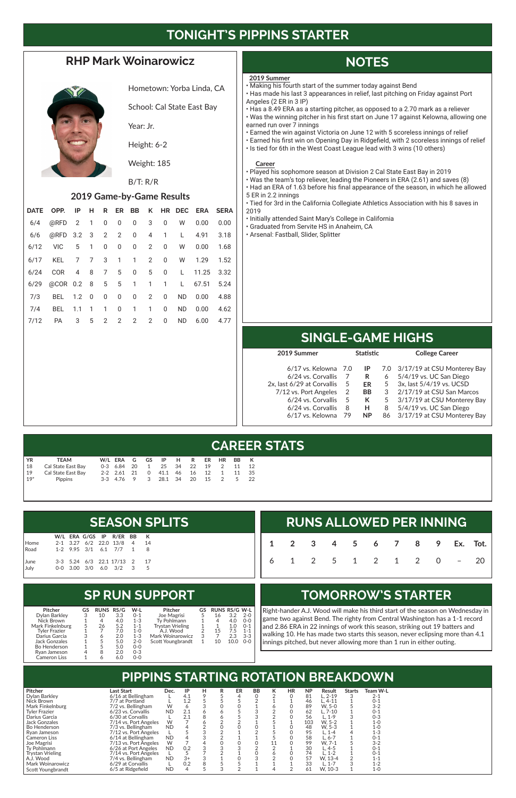# **TONIGHT'S PIPPINS STARTER**

### **RHP Mark Woinarowicz**



Hometown: Yorba Linda, CA

School: Cal State East Bay

Year: Jr.

Height: 6-2

Weight: 185

#### B/T: R/R

#### **2019 Game-by-Game Results**

|      | DATE OPP. IP H R ER BB K HR DEC ERA SERA |                       |                         |             |               |   |                |              |              |      |
|------|------------------------------------------|-----------------------|-------------------------|-------------|---------------|---|----------------|--------------|--------------|------|
| 6/4  | @RFD 2 1 0 0 0                           |                       |                         |             |               |   | $3 \t 0$       | <b>W</b>     | 0.00         | 0.00 |
| 6/6  | @RFD 3.2 3 2 2 0                         |                       |                         |             |               |   |                |              | 4 1 L 4.91   | 3.18 |
| 6/12 | VIC 5 1 0 0 0 2 0                        |                       |                         |             |               |   |                |              | W   0.00     | 1.68 |
| 6/17 | KEL 7 7 3 1 1 2 0                        |                       |                         |             |               |   |                |              | W 1.29       | 1.52 |
| 6/24 | COR                                      |                       |                         |             | 4 8 7 5 0 5 0 |   |                |              | L 11.25 3.32 |      |
| 6/29 | @COR 0.2 8 5 5 1 1 1                     |                       |                         |             |               |   |                | $\mathbf{L}$ | 67.51 5.24   |      |
| 7/3  | BEL 1.2 0                                |                       | $\overline{\mathbf{0}}$ |             | $0\qquad 0$   |   | $2 \quad 0$    |              | ND 0.00      | 4.88 |
| 7/4  | BEL.                                     | $1.1 \quad 1 \quad 1$ |                         | $0 \quad 1$ |               | 1 | $\overline{0}$ | ND.          | 0.00         | 4.62 |
| 7/12 | <b>PA</b>                                | 3                     | $5 \quad 2$             | $2^{\circ}$ | $2^{\circ}$   | 2 | 0              | <b>ND</b>    | 6.00         | 4.77 |

# **NOTES**

# **SINGLE-GAME HIGHS**

### **CAREER STATS**

# **PIPPINS STARTING ROTATION BREAKDOWN**

#### **SP RUN SUPPORT**

### **TOMORROW'S STARTER**

# **RUNS ALLOWED PER INNING 1 2 3 4 5 6 7 8 9 Ex. Tot.** 6 1 2 5 1 2 1 2 0 – 20

Right-hander A.J. Wood will make his third start of the season on Wednesday in game two against Bend. The righty from Central Washington has a 1-1 record and 2.86 ERA in 22 innings of work this season, striking out 19 batters and walking 10. He has made two starts this season, never eclipsing more than 4.1 innings pitched, but never allowing more than 1 run in either outing.

|                               |  |  |                              |  | <b>SEASON SPLITS</b> |  |
|-------------------------------|--|--|------------------------------|--|----------------------|--|
|                               |  |  | W/L ERA G/GS IP R/ER BB K    |  |                      |  |
| Home                          |  |  | 2-1 3.27 6/2 22.0 13/8 4 14  |  |                      |  |
| Road 1-2 9.95 3/1 6.1 7/7 1 8 |  |  |                              |  |                      |  |
|                               |  |  | 3-3 5.24 6/3 22.1 17/13 2 17 |  |                      |  |
| June<br>July                  |  |  | 0-0 3.00 3/0 6.0 3/2 3 5     |  |                      |  |

| YR            | TEAM               |  |  | W/LERAGGS IPH RER HRBBK       |  |  |       |     |
|---------------|--------------------|--|--|-------------------------------|--|--|-------|-----|
| $\vert$ 18    | Cal State East Bav |  |  | 0-3 6.84 20 1 25 34 22 19 2   |  |  | 11 12 |     |
| $\frac{1}{9}$ | Cal State East Bay |  |  | 2-2 2.61 21 0 41.1 46 16 12 1 |  |  | 11 35 |     |
| $19*$         | Pippins            |  |  | 3-3 4.76 9 3 28.1 34 20 15 2  |  |  | 5     | -22 |

| <b>Pitcher</b>          | Last Start            | Dec.      | IP   | н | R | ER | BB | к | HR | <b>NP</b> | Result      | <b>Starts</b> | Team W-L |  |
|-------------------------|-----------------------|-----------|------|---|---|----|----|---|----|-----------|-------------|---------------|----------|--|
| Dylan Barkley           | 6/16 at Bellingham    |           | 4.1  |   |   |    |    |   |    | 81        | $L. 2 - 19$ |               | 2-1      |  |
| Nick Brown              | 7/7 at Portland       |           | 1.2  |   |   |    |    |   |    | 46        | $L.4-11$    |               | $0 - 1$  |  |
| Mark Finkelnburg        | 7/2 vs. Bellingham    | W         |      |   |   |    |    |   |    | 89        | W. 5-0      |               | $3 - 2$  |  |
| Tyler Frazier           | 6/23 vs. Corvallis    | <b>ND</b> | 2.1  |   |   |    |    |   |    | 62        | $L.7-10$    |               | 0-1      |  |
| Darius Garcia           | 6/30 at Corvallis     |           | 2.1  |   | 6 |    |    |   |    | 56        | L. 1-9      |               | $0 - 3$  |  |
| Jack Gonzales           | 7/14 vs. Port Angeles | W         |      |   |   |    |    |   |    | 103       | W. 5-2      |               | 1-0      |  |
| <b>Bo Henderson</b>     | 7/3 vs. Bellingham    | <b>ND</b> |      |   |   |    |    |   |    | 48        | W. 5-3      |               | 1-0      |  |
| Ryan Jameson            | 7/12 vs. Port Angeles |           |      |   |   |    |    |   |    | 95        | L. 1-4      |               | $1 - 3$  |  |
| <b>Cameron Liss</b>     | 6/14 at Bellingham    | <b>ND</b> |      |   |   |    |    |   |    | 58        | L. 6-7      |               | $0 - 1$  |  |
| Joe Magrisi             | 7/13 vs. Port Angeles | W         |      |   |   |    |    |   |    | 99        | W. 7-1      |               | $3 - 2$  |  |
| Tv Pohlmann             | 6/26 at Port Angeles  | <b>ND</b> | 0.2  |   |   |    |    |   |    | 30        | L. 4-5      |               | $0 - 1$  |  |
| <b>Trystan Vrieling</b> | 7/14 vs. Port Angeles |           |      |   |   |    |    |   |    | 74        | L. 1-2      |               | 0-1      |  |
| A.J. Wood               | 7/4 vs. Bellingham    | <b>ND</b> | $3+$ |   |   |    |    |   |    | 57        | W. 13-4     |               | 1-1      |  |
| Mark Woinarowicz        | 6/29 at Corvallis     |           | 0.2  |   |   |    |    |   |    | 33        | L. 1-7      |               | $1 - 2$  |  |
| Scott Youngbrandt       | 6/5 at Ridgefield     | <b>ND</b> | 4    |   | 3 |    |    | 4 |    | 61        | W. 10-3     |               | $1 - 0$  |  |

| 2019 Summer                |     | <b>Statistic</b> |   | <b>College Career</b>           |  |  |
|----------------------------|-----|------------------|---|---------------------------------|--|--|
| $6/17$ vs. Kelowna 7.0     |     | IP               |   | 7.0 3/17/19 at CSU Monterey Bay |  |  |
| 6/24 vs. Corvallis         |     | R                | 6 | 5/4/19 vs. UC San Diego         |  |  |
| 2x, last 6/29 at Corvallis | 5   | ER               | 5 | 3x, last 5/4/19 vs. UCSD        |  |  |
| 7/12 vs. Port Angeles      | 2   | <b>BB</b>        | 3 | 2/17/19 at CSU San Marcos       |  |  |
| 6/24 vs. Corvallis         | 5   | К                | 5 | 3/17/19 at CSU Monterey Bay     |  |  |
| 6/24 vs. Corvallis         | 8   | н                | 8 | 5/4/19 vs. UC San Diego         |  |  |
| 6/17 vs. Kelowna           | -79 | <b>NP</b><br>86  |   | 3/17/19 at CSU Monterey Bay     |  |  |
|                            |     |                  |   |                                 |  |  |

| <b>Pitcher</b>   | GS | <b>RUNS RS/G</b> |     | W-L     | <b>Pitcher</b>          | GS | <b>RUNS RS/G W-L</b> |      |         |
|------------------|----|------------------|-----|---------|-------------------------|----|----------------------|------|---------|
| Dylan Barkley    | 3  | 10               | 3.3 | $0 - 1$ | Joe Magrisi             |    | 16                   | 3.2  | $2 - 0$ |
| Nick Brown       | 1  | 4                | 4.0 | $1 - 3$ | Tv Pohlmann             |    |                      | 4.0  | $0 - 0$ |
| Mark Finkelnburg | 5  | 26               | 5.2 | $1 - 1$ | <b>Trystan Vrieling</b> |    |                      | 1.0  | $O-1$   |
| Tyler Frazier    |    |                  | 7.0 | $1 - 0$ | A.J. Wood               |    | 15                   | 75   | $1 - 1$ |
| Darius Garcia    | 3  |                  | 2.0 | $1 - 3$ | Mark Woinarowicz        | 3  |                      | 2.3  | $3 - 3$ |
| Jack Gonzales    |    |                  | 5.0 | $2 - 0$ | Scott Youngbrandt       |    | 10                   | 10.0 | $0 - 0$ |
| Bo Henderson     |    | 5                | 5.0 | $0-0$   |                         |    |                      |      |         |
| Rvan Jameson     | 4  | 8                | 2.0 | $0 - 3$ |                         |    |                      |      |         |
| Cameron Liss     |    |                  | 6.0 | $0 - 0$ |                         |    |                      |      |         |

#### **2019 Summer**

- Making his fourth start of the summer today against Bend
- Has made his last 3 appearances in relief, last pitching on Friday against Port Angeles (2 ER in 3 IP)
- Has a 8.49 ERA as a starting pitcher, as opposed to a 2.70 mark as a reliever • Was the winning pitcher in his first start on June 17 against Kelowna, allowing one earned run over 7 innings
- Earned the win against Victoria on June 12 with 5 scoreless innings of relief
- Earned his first win on Opening Day in Ridgefield, with 2 scoreless innings of relief
- Is tied for 6th in the West Coast League lead with 3 wins (10 others)

#### **Career**

- Played his sophomore season at Division 2 Cal State East Bay in 2019
- Was the team's top reliever, leading the Pioneers in ERA (2.61) and saves (8)
- Had an ERA of 1.63 before his final appearance of the season, in which he allowed 5 ER in 2.2 innings
- Tied for 3rd in the California Collegiate Athletics Association with his 8 saves in 2019
- Initially attended Saint Mary's College in California
- Graduated from Servite HS in Anaheim, CA
- Arsenal: Fastball, Slider, Splitter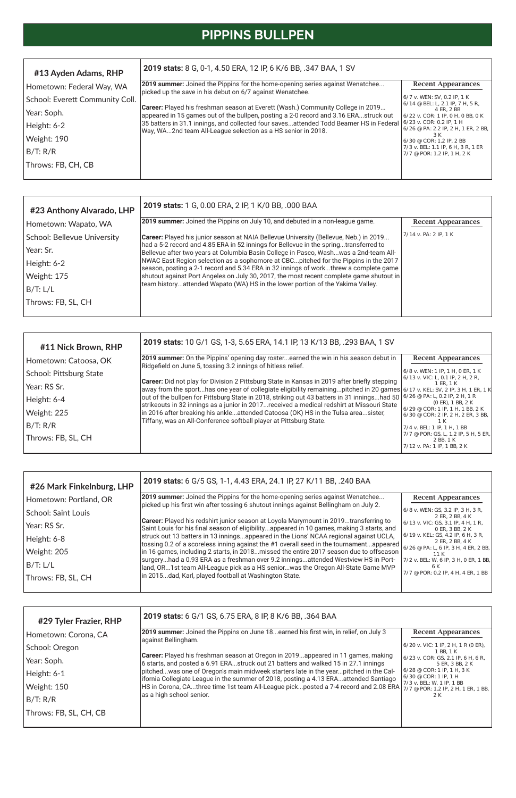# **PIPPINS BULLPEN**

| #13 Ayden Adams, RHP            | 2019 stats: 8 G, 0-1, 4.50 ERA, 12 IP, 6 K/6 BB, .347 BAA, 1 SV                                                                                                         |                                                                                                      |  |  |  |  |  |  |
|---------------------------------|-------------------------------------------------------------------------------------------------------------------------------------------------------------------------|------------------------------------------------------------------------------------------------------|--|--|--|--|--|--|
| Hometown: Federal Way, WA       | <b>2019 summer:</b> Joined the Pippins for the home-opening series against Wenatchee<br>picked up the save in his debut on 6/7 against Wenatchee.                       | <b>Recent Appearances</b>                                                                            |  |  |  |  |  |  |
| School: Everett Community Coll. |                                                                                                                                                                         | 6/7 v. WEN: SV, 0.2 IP, 1 K<br>$6/14 \otimes$ BEL: L, 2.1 IP, 7 H, 5 R,                              |  |  |  |  |  |  |
| Year: Soph.                     | Career: Played his freshman season at Everett (Wash.) Community College in 2019<br>appeared in 15 games out of the bullpen, posting a 2-0 record and 3.16 ERAstruck out | 4 ER. 2 BB<br>6/22 v. COR: 1 IP, 0 H, 0 BB, 0 K                                                      |  |  |  |  |  |  |
| Height: 6-2                     | 35 batters in 31.1 innings, and collected four savesattended Todd Beamer HS in Federal<br>Way, WA2nd team All-League selection as a HS senior in 2018.                  | $(6/23 \text{ v.} \text{COR: } 0.2 \text{ IP. } 1 \text{ H})$<br>6/26 @ PA: 2.2 IP, 2 H, 1 ER, 2 BB, |  |  |  |  |  |  |
| Weight: 190                     |                                                                                                                                                                         | 3 K<br>$6/30 \otimes \text{COR}$ : 1.2 IP, 2 BB                                                      |  |  |  |  |  |  |
| B/T: R/R                        |                                                                                                                                                                         | 7/3 v. BEL: 1.1 IP, 6 H, 3 R, 1 ER<br>7/7 @ POR: 1.2 IP, 1 H, 2 K                                    |  |  |  |  |  |  |
| Throws: FB, CH, CB              |                                                                                                                                                                         |                                                                                                      |  |  |  |  |  |  |
|                                 |                                                                                                                                                                         |                                                                                                      |  |  |  |  |  |  |

| #29 Tyler Frazier, RHP | 2019 stats: 6 G/1 GS, 6.75 ERA, 8 IP, 8 K/6 BB, .364 BAA                                                                                                                                                                                                                      |                                                                                                |  |  |  |  |  |  |
|------------------------|-------------------------------------------------------------------------------------------------------------------------------------------------------------------------------------------------------------------------------------------------------------------------------|------------------------------------------------------------------------------------------------|--|--|--|--|--|--|
| Hometown: Corona, CA   | 2019 summer: Joined the Pippins on June 18earned his first win, in relief, on July 3<br>against Bellingham.                                                                                                                                                                   | <b>Recent Appearances</b>                                                                      |  |  |  |  |  |  |
| School: Oregon         |                                                                                                                                                                                                                                                                               | 6/20 v. VIC: 1 IP, 2 H, 1 R (0 ER),<br>1 BB, 1 K                                               |  |  |  |  |  |  |
| Year: Soph.            | <b>Career:</b> Played his freshman season at Oregon in 2019appeared in 11 games, making<br>6 starts, and posted a 6.91 ERAstruck out 21 batters and walked 15 in 27.1 innings                                                                                                 | $6/23$ v. COR: GS, 2.1 IP, 6 H, 6 R,<br>5 ER, 3 BB, 2 K                                        |  |  |  |  |  |  |
| Height: 6-1            | pitchedwas one of Oregon's main midweek starters late in the yearpitched in the Cal-<br>ifornia Collegiate League in the summer of 2018, posting a 4.13 ERAattended Santiago                                                                                                  | $6/28 \otimes \text{COR: } 1 \text{ IP, } 1 \text{ H, } 3 \text{ K}$<br> 6/30 @ COR: 1 IP, 1 H |  |  |  |  |  |  |
| Weight: 150            | HS in Corona, CAthree time 1st team All-League pickposted a 7-4 record and 2.08 ERA $\frac{1}{2}$ $\frac{1}{2}$ $\frac{1}{2}$ $\frac{1}{2}$ $\frac{1}{2}$ $\frac{1}{2}$ $\frac{1}{2}$ $\frac{1}{2}$ $\frac{1}{2}$ $\frac{1}{2}$ $\frac{1}{2}$ $\frac{1}{2}$ $\frac{1}{2}$ $\$ | 7/3 v. BEL: W, 1 IP, 1 BB                                                                      |  |  |  |  |  |  |
| B/T: R/R               | as a high school senior.                                                                                                                                                                                                                                                      | 2 K                                                                                            |  |  |  |  |  |  |
| Throws: FB, SL, CH, CB |                                                                                                                                                                                                                                                                               |                                                                                                |  |  |  |  |  |  |

| #26 Mark Finkelnburg, LHP | 2019 stats: 6 G/5 GS, 1-1, 4.43 ERA, 24.1 IP, 27 K/11 BB, .240 BAA                                                                                                                                 |                                           |
|---------------------------|----------------------------------------------------------------------------------------------------------------------------------------------------------------------------------------------------|-------------------------------------------|
| Hometown: Portland, OR    | 2019 summer: Joined the Pippins for the home-opening series against Wenatchee                                                                                                                      | <b>Recent Appearances</b>                 |
|                           | picked up his first win after tossing 6 shutout innings against Bellingham on July 2.                                                                                                              | 6/8 v. WEN: GS, 3.2 IP, 3 H, 3 R,         |
| School: Saint Louis       |                                                                                                                                                                                                    | 2 ER, 2 BB, 4 K                           |
| Year: RS Sr.              | Career: Played his redshirt junior season at Loyola Marymount in 2019transferring to                                                                                                               | $6/13$ v. VIC: GS, 3.1 IP, 4 H, 1 R,      |
|                           | Saint Louis for his final season of eligibilityappeared in 10 games, making 3 starts, and                                                                                                          | 0 ER, 3 BB, 2 K                           |
| Height: 6-8               | struck out 13 batters in 13 inningsappeared in the Lions' NCAA regional against UCLA,                                                                                                              | 6/19 v. KEL: GS, 4.2 IP, 6 H, 3 R,        |
|                           | tossing 0.2 of a scoreless inning against the #1 overall seed in the tournamentappeared $\begin{bmatrix} 6/26 & pA: L & 6 & p, 3 & h \\ 6/26 & pA: L & 6 & p, 3 & h, 4 & ER, 2 & BB \end{bmatrix}$ |                                           |
| Weight: 205               | in 16 games, including 2 starts, in 2018missed the entire 2017 season due to offseason                                                                                                             | 11 K                                      |
| B/T: L/L                  | surgeryhad a 0.93 ERA as a freshman over 9.2 inningsattended Westview HS in Port-                                                                                                                  | 7/2 v. BEL: W, 6 IP, 3 H, 0 ER, 1 BB,     |
|                           | land, OR1st team All-League pick as a HS seniorwas the Oregon All-State Game MVP                                                                                                                   | 6 K<br>7/7 @ POR: 0.2 IP, 4 H, 4 ER, 1 BB |
| Throws: FB, SL, CH        | in 2015dad, Karl, played football at Washington State.                                                                                                                                             |                                           |

 $\overline{1}$ 

| #11 Nick Brown, RHP     | 2019 stats: 10 G/1 GS, 1-3, 5.65 ERA, 14.1 IP, 13 K/13 BB, .293 BAA, 1 SV                                                                                                                                                            |                                                                                |
|-------------------------|--------------------------------------------------------------------------------------------------------------------------------------------------------------------------------------------------------------------------------------|--------------------------------------------------------------------------------|
| Hometown: Catoosa, OK   | [2019 summer: On the Pippins' opening day rosterearned the win in his season debut in<br>Ridgefield on June 5, tossing 3.2 innings of hitless relief.                                                                                | <b>Recent Appearances</b>                                                      |
| School: Pittsburg State |                                                                                                                                                                                                                                      | 6/8 v. WEN: 1 IP, 1 H, 0 ER, 1 K<br>6/13 v. VIC: L, 0.1 IP, 2 H, 2 R,          |
| Year: RS Sr.            | <b>Career:</b> Did not play for Division 2 Pittsburg State in Kansas in 2019 after briefly stepping<br> away from the sporthas one year of collegiate eligibility remainingpitched in 20 games 6/17 v. KEL: SV, 2 IP, 3 H, 1 ER, 1 K | 1 ER. 1 K                                                                      |
| Height: 6-4             | out of the bullpen for Pittsburg State in 2018, striking out 43 batters in 31 inningshad 50<br>strikeouts in 32 innings as a junior in 2017received a medical redshirt at Missouri State                                             | $6/26$ @ PA: L, 0.2 IP, 2 H, 1 R<br>$(0$ ER), 1 BB, 2 K                        |
| Weight: 225             | in 2016 after breaking his ankleattended Catoosa (OK) HS in the Tulsa areasister,                                                                                                                                                    | $6/29 \oslash$ COR: 1 IP, 1 H, 1 BB, 2 K<br>6/30 @ COR: 2 IP, 2 H, 2 ER, 3 BB, |
| B/T: R/R                | Tiffany, was an All-Conference softball player at Pittsburg State.                                                                                                                                                                   | 7/4 v. BEL: 1 IP, 1 H, 1 BB                                                    |
| Throws: FB, SL, CH      |                                                                                                                                                                                                                                      | 7/7 @ POR: GS, L, 1.2 IP, 5 H, 5 ER,<br>2 BB, 1 K                              |
|                         |                                                                                                                                                                                                                                      | 7/12 v. PA: 1 IP, 1 BB, 2 K                                                    |

| #23 Anthony Alvarado, LHP   | 2019 stats: 1 G, 0.00 ERA, 2 IP, 1 K/0 BB, .000 BAA                                                                                                                          |                           |  |  |  |  |
|-----------------------------|------------------------------------------------------------------------------------------------------------------------------------------------------------------------------|---------------------------|--|--|--|--|
| Hometown: Wapato, WA        | 2019 summer: Joined the Pippins on July 10, and debuted in a non-league game.                                                                                                | <b>Recent Appearances</b> |  |  |  |  |
| School: Bellevue University | Career: Played his junior season at NAIA Bellevue University (Bellevue, Neb.) in 2019                                                                                        | $7/14$ v. PA: 2 IP, 1 K   |  |  |  |  |
| Year: Sr.                   | had a 5-2 record and 4.85 ERA in 52 innings for Bellevue in the springtransferred to<br>Bellevue after two years at Columbia Basin College in Pasco, Washwas a 2nd-team All- |                           |  |  |  |  |
| Height: 6-2                 | NWAC East Region selection as a sophomore at CBCpitched for the Pippins in the 2017<br>season, posting a 2-1 record and 5.34 ERA in 32 innings of workthrew a complete game  |                           |  |  |  |  |
| Weight: 175                 | shutout against Port Angeles on July 30, 2017, the most recent complete game shutout in                                                                                      |                           |  |  |  |  |
| B/T: L/L                    | team historyattended Wapato (WA) HS in the lower portion of the Yakima Valley.                                                                                               |                           |  |  |  |  |
| Throws: FB, SL, CH          |                                                                                                                                                                              |                           |  |  |  |  |
|                             |                                                                                                                                                                              |                           |  |  |  |  |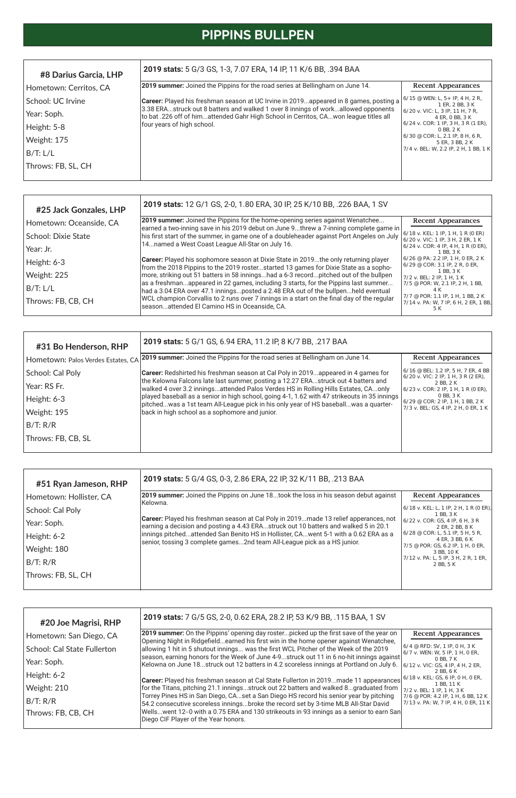# **PIPPINS BULLPEN**

| #31 Bo Henderson, RHP              | 2019 stats: 5 G/1 GS, 6.94 ERA, 11.2 IP, 8 K/7 BB, .217 BAA                                                                                                             |                                                                                                                               |                                                       |  |  |  |
|------------------------------------|-------------------------------------------------------------------------------------------------------------------------------------------------------------------------|-------------------------------------------------------------------------------------------------------------------------------|-------------------------------------------------------|--|--|--|
| Hometown: Palos Verdes Estates, CA | 2019 summer: Joined the Pippins for the road series at Bellingham on June 14.                                                                                           | <b>Recent Appearances</b>                                                                                                     |                                                       |  |  |  |
| School: Cal Poly                   | <b>Career:</b> Redshirted his freshman season at Cal Poly in 2019appeared in 4 games for                                                                                | 6/16 @ BEL: 1.2 IP, 5 H, 7 ER, 4 BB<br>$(6/20 \text{ v.} \text{ VIC}: 2 \text{ IP.} 1 \text{ H.} 3 \text{ R} (2 \text{ ER}).$ |                                                       |  |  |  |
| Year: RS Fr.                       | the Kelowna Falcons late last summer, posting a 12.27 ERAstruck out 4 batters and<br>walked 4 over 3.2 inningsattended Palos Verdes HS in Rolling Hills Estates, CAonly | 2 BB, 2 K<br>$(6/23 \text{ v. COR: } 2 \text{ IP, } 1 \text{ H, } 1 \text{ R} (0 \text{ ER}),$                                |                                                       |  |  |  |
| Height: 6-3                        | played baseball as a senior in high school, going 4-1, 1.62 with 47 strikeouts in 35 innings                                                                            | pitchedwas a 1st team All-League pick in his only year of HS baseballwas a quarter-                                           | 0 BB, 3 K<br>$6/29 \oslash$ COR: 2 IP, 1 H, 1 BB, 2 K |  |  |  |
| Weight: 195                        | back in high school as a sophomore and junior.                                                                                                                          | 7/3 v. BEL: GS, 4 IP, 2 H, 0 ER, 1 K                                                                                          |                                                       |  |  |  |
| B/T: R/R                           |                                                                                                                                                                         |                                                                                                                               |                                                       |  |  |  |
| Throws: FB, CB, SL                 |                                                                                                                                                                         |                                                                                                                               |                                                       |  |  |  |
|                                    |                                                                                                                                                                         |                                                                                                                               |                                                       |  |  |  |

| #8 Darius Garcia, LHP  | 2019 stats: 5 G/3 GS, 1-3, 7.07 ERA, 14 IP, 11 K/6 BB, .394 BAA                                                                                                           |                                                      |  |  |  |
|------------------------|---------------------------------------------------------------------------------------------------------------------------------------------------------------------------|------------------------------------------------------|--|--|--|
| Hometown: Cerritos, CA | <b>2019 summer:</b> Joined the Pippins for the road series at Bellingham on June 14.                                                                                      | <b>Recent Appearances</b>                            |  |  |  |
| School: UC Irvine      | Career: Played his freshman season at UC Irvine in 2019appeared in 8 games, posting a                                                                                     | $6/15$ @ WEN: L, 5+ IP, 4 H, 2 R,<br>1 ER, 2 BB, 3 K |  |  |  |
| Year: Soph.            | 3.38 ERAstruck out 8 batters and walked 1 over 8 innings of workallowed opponents<br>to bat .226 off of himattended Gahr High School in Cerritos, CAwon league titles all | 6/20 v. VIC: L, 3 IP, 11 H, 7 R,<br>4 ER, 0 BB, 3 K  |  |  |  |
| Height: 5-8            | four years of high school.                                                                                                                                                | $6/24$ v. COR: 1 IP, 3 H, 3 R (1 ER),<br>0 BB, 2 K   |  |  |  |
| Weight: 175            |                                                                                                                                                                           | 6/30 @ COR: L, 2.1 IP, 8 H, 6 R,<br>5 ER, 3 BB, 2 K  |  |  |  |
| B/T: L/L               |                                                                                                                                                                           | 7/4 v. BEL: W, 2.2 IP, 2 H, 1 BB, 1 K                |  |  |  |
| Throws: FB, SL, CH     |                                                                                                                                                                           |                                                      |  |  |  |
|                        |                                                                                                                                                                           |                                                      |  |  |  |

| #25 Jack Gonzales, LHP  | 2019 stats: 12 G/1 GS, 2-0, 1.80 ERA, 30 IP, 25 K/10 BB, .226 BAA, 1 SV                                                                                                            |                                                                                     |  |  |  |
|-------------------------|------------------------------------------------------------------------------------------------------------------------------------------------------------------------------------|-------------------------------------------------------------------------------------|--|--|--|
| Hometown: Oceanside, CA | 2019 summer: Joined the Pippins for the home-opening series against Wenatchee<br>earned a two-inning save in his 2019 debut on June 9threw a 7-inning complete game in             | <b>Recent Appearances</b>                                                           |  |  |  |
| School: Dixie State     | his first start of the summer, in game one of a doubleheader against Port Angeles on July                                                                                          | $6/18$ v. KEL: 1 IP, 1 H, 1 R (0 ER)<br>6/20 v. VIC: 1 IP, 3 H, 2 ER, 1 K           |  |  |  |
| Year: Jr.               | 14named a West Coast League All-Star on July 16.                                                                                                                                   | $6/24$ v. COR: 4 IP, 4 H, 1 R (0 ER),<br>1 BB, 3 K                                  |  |  |  |
| Height: 6-3             | <b>Career:</b> Played his sophomore season at Dixie State in 2019the only returning player<br>from the 2018 Pippins to the 2019 rosterstarted 13 games for Dixie State as a sopho- | 6/26 @ PA: 2.2 IP, 1 H, 0 ER, 2 K<br>$6/29$ @ COR: 3.1 IP, 2 R, 0 ER,               |  |  |  |
| Weight: 225             | more, striking out 51 batters in 58 inningshad a 6-3 recordpitched out of the bullpen                                                                                              | 1 BB, 3 K<br>$7/2$ v. BEL: 2 IP, 1 H, 1 K                                           |  |  |  |
| B/T: L/L                | as a freshmanappeared in 22 games, including 3 starts, for the Pippins last summer<br>had a 3.04 ERA over 47.1 inningsposted a 2.48 ERA out of the bullpenheld eventual            | 7/5 @ POR: W, 2.1 IP, 2 H, 1 BB,<br>4 K                                             |  |  |  |
| Throws: FB, CB, CH      | WCL champion Corvallis to 2 runs over 7 innings in a start on the final day of the regular<br>seasonattended El Camino HS in Oceanside, CA.                                        | 7/7 @ POR: 1.1 IP, 1 H, 1 BB, 2 K<br>$7/14$ v. PA: W, 7 IP, 6 H, 2 ER, 1 BB,<br>5 K |  |  |  |

| #51 Ryan Jameson, RHP   | 2019 stats: 5 G/4 GS, 0-3, 2.86 ERA, 22 IP, 32 K/11 BB, .213 BAA                                                                                                                                                                                                                                                                                      |                                                               |  |                                                                                            |
|-------------------------|-------------------------------------------------------------------------------------------------------------------------------------------------------------------------------------------------------------------------------------------------------------------------------------------------------------------------------------------------------|---------------------------------------------------------------|--|--------------------------------------------------------------------------------------------|
| Hometown: Hollister, CA | <b>2019 summer:</b> Joined the Pippins on June 18took the loss in his season debut against<br><b>Recent Appearances</b><br>IKelowna.                                                                                                                                                                                                                  |                                                               |  |                                                                                            |
| School: Cal Poly        | <b>Career:</b> Played his freshman season at Cal Poly in 2019made 13 relief apperances, not<br>earning a decision and posting a 4.43 ERAstruck out 10 batters and walked 5 in 20.1<br>innings pitchedattended San Benito HS in Hollister, CAwent 5-1 with a 0.62 ERA as a<br>senior, tossing 3 complete games2nd team All-League pick as a HS junior. | $(6/18 \text{ v. KEL: L, 1 IP, 2 H, 1 R (0 ER))$<br>1 BB. 3 K |  |                                                                                            |
| Year: Soph.             |                                                                                                                                                                                                                                                                                                                                                       | 6/22 v. COR: GS, 4 IP, 6 H, 3 R<br>2 ER. 2 BB. 8 K            |  |                                                                                            |
| Height: 6-2             |                                                                                                                                                                                                                                                                                                                                                       |                                                               |  | $6/28 \otimes \text{COR: L}, 5.1 \text{ IP}, 5 \text{ H}, 5 \text{ R},$<br>4 ER. 3 BB. 6 K |
| Weight: 180             |                                                                                                                                                                                                                                                                                                                                                       |                                                               |  | 7/5 @ POR: GS, 6.2 IP, 1 H, 0 ER,<br>3 BB, 10 K                                            |
| B/T: R/R                |                                                                                                                                                                                                                                                                                                                                                       | 7/12 v. PA: L, 5 IP, 3 H, 2 R, 1 ER,<br>2 BB, 5 K             |  |                                                                                            |
| Throws: FB, SL, CH      |                                                                                                                                                                                                                                                                                                                                                       |                                                               |  |                                                                                            |

| #20 Joe Magrisi, RHP        | 2019 stats: 7 G/5 GS, 2-0, 0.62 ERA, 28.2 IP, 53 K/9 BB, .115 BAA, 1 SV                                                                                                             |                                                                            |
|-----------------------------|-------------------------------------------------------------------------------------------------------------------------------------------------------------------------------------|----------------------------------------------------------------------------|
| Hometown: San Diego, CA     | 2019 summer: On the Pippins' opening day rosterpicked up the first save of the year on<br>Opening Night in Ridgefieldearned his first win in the home opener against Wenatchee,     | <b>Recent Appearances</b>                                                  |
| School: Cal State Fullerton | allowing 1 hit in 5 shutout innings was the first WCL Pitcher of the Week of the 2019                                                                                               | $6/4$ @ RFD: SV, 1 IP, 0 H, 3 K<br>$6/7$ v. WEN: W, 5 IP, 1 H, 0 ER,       |
| Year: Soph.                 | season, earning honors for the Week of June 4-9struck out 11 in 6 no-hit innings against<br>Kelowna on June 18struck out 12 batters in 4.2 scoreless innings at Portland on July 6. | 0 BB, 7 K<br>$6/12$ v. VIC: GS, 4 IP, 4 H, 2 ER,                           |
| Height: 6-2                 | Career: Played his freshman season at Cal State Fullerton in 2019made 11 appearances                                                                                                | 2 BB, 6 K<br>$6/18$ v. KEL: GS, 6 IP, 0 H, 0 ER,                           |
| Weight: 210                 | for the Titans, pitching 21.1 inningsstruck out 22 batters and walked 8graduated from                                                                                               | 1 BB, 11 K<br>7/2 v. BEL: 1 IP, 1 H, 3 K                                   |
| B/T: R/R                    | Torrey Pines HS in San Diego, CAset a San Diego HS record his senior year by pitching<br>54.2 consecutive scoreless inningsbroke the record set by 3-time MLB All-Star David        | 7/6 @ POR: 4.2 IP, 1 H, 6 BB, 12 K<br>7/13 v. PA: W, 7 IP, 4 H, 0 ER, 11 K |
| Throws: FB, CB, CH          | Wellswent 12-0 with a 0.75 ERA and 130 strikeouts in 93 innings as a senior to earn San<br>Diego CIF Player of the Year honors.                                                     |                                                                            |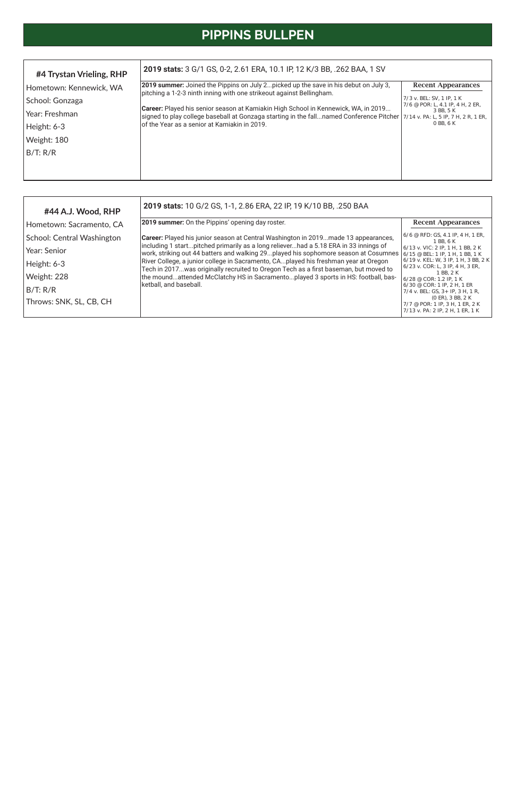# **PIPPINS BULLPEN**

| #44 A.J. Wood, RHP         | 2019 stats: 10 G/2 GS, 1-1, 2.86 ERA, 22 IP, 19 K/10 BB, .250 BAA                                                                                                                                                             |                                                                                                        |  |  |  |  |
|----------------------------|-------------------------------------------------------------------------------------------------------------------------------------------------------------------------------------------------------------------------------|--------------------------------------------------------------------------------------------------------|--|--|--|--|
| Hometown: Sacramento, CA   | 2019 summer: On the Pippins' opening day roster.                                                                                                                                                                              | <b>Recent Appearances</b>                                                                              |  |  |  |  |
| School: Central Washington | Career: Played his junior season at Central Washington in 2019made 13 appearances,                                                                                                                                            | $6/6$ @ RFD: GS, 4.1 IP, 4 H, 1 ER,<br>1 BB, 6 K                                                       |  |  |  |  |
| Year: Senior               | including 1 startpitched primarily as a long relieverhad a 5.18 ERA in 33 innings of<br>work, striking out 44 batters and walking 29played his sophomore season at Cosumnes $6/15 \text{ }^{\circ}$ BEL: 1 IP, 1 H, 1 BB, 1 K | $6/13$ v. VIC: 2 IP, 1 H, 1 BB, 2 K                                                                    |  |  |  |  |
| Height: 6-3                | River College, a junior college in Sacramento, CAplayed his freshman year at Oregon<br>Tech in 2017was originally recruited to Oregon Tech as a first baseman, but moved to                                                   | [6/19 v. KEL: W, 3 IP, 1 H, 3 BB, 2 K]<br>[6/23 v. COR: L, 3 IP, 4 H, 3 ER,                            |  |  |  |  |
| Weight: 228                | the moundattended McClatchy HS in Sacramentoplayed 3 sports in HS: football, bas-<br>ketball, and baseball.                                                                                                                   | 1 BB. 2 K<br>$6/28 \otimes \text{COR: } 1.2 \text{ IP, } 1 \text{ K}$                                  |  |  |  |  |
| B/T: R/R                   |                                                                                                                                                                                                                               | $6/30 \& \text{COR: } 1 \text{ IP, } 2 \text{ H, } 1 \text{ ER}$<br>$7/4$ v. BEL: GS, 3+ IP, 3 H, 1 R, |  |  |  |  |
| Throws: SNK, SL, CB, CH    |                                                                                                                                                                                                                               | $(0 \text{ ER})$ , 3 BB, 2 K<br>7/7 @ POR: 1 IP, 3 H, 1 ER, 2 K<br>7/13 v. PA: 2 IP, 2 H, 1 ER, 1 K    |  |  |  |  |

| #4 Trystan Vrieling, RHP | 2019 stats: 3 G/1 GS, 0-2, 2.61 ERA, 10.1 IP, 12 K/3 BB, .262 BAA, 1 SV                                                                                                                                                      |                                                                              |
|--------------------------|------------------------------------------------------------------------------------------------------------------------------------------------------------------------------------------------------------------------------|------------------------------------------------------------------------------|
| Hometown: Kennewick, WA  | [2019 summer: Joined the Pippins on July 2picked up the save in his debut on July 3,<br>pitching a 1-2-3 ninth inning with one strikeout against Bellingham.                                                                 | <b>Recent Appearances</b>                                                    |
| School: Gonzaga          |                                                                                                                                                                                                                              | $7/3$ v. BEL: SV, 1 IP, 1 K<br>7/6 @ POR: L, 4.1 IP, 4 H, 2 ER,<br>3 BB, 5 K |
| Year: Freshman           | Career: Played his senior season at Kamiakin High School in Kennewick, WA, in 2019<br>signed to play college baseball at Gonzaga starting in the fallnamed Conference Pitcher $\frac{7}{14}$ v. PA: L, 5 IP, 7 H, 2 R, 1 ER, |                                                                              |
| Height: 6-3              | lof the Year as a senior at Kamiakin in 2019.                                                                                                                                                                                | 0 BB, 6 K                                                                    |
| Weight: 180              |                                                                                                                                                                                                                              |                                                                              |
| B/T: R/R                 |                                                                                                                                                                                                                              |                                                                              |
|                          |                                                                                                                                                                                                                              |                                                                              |
|                          |                                                                                                                                                                                                                              |                                                                              |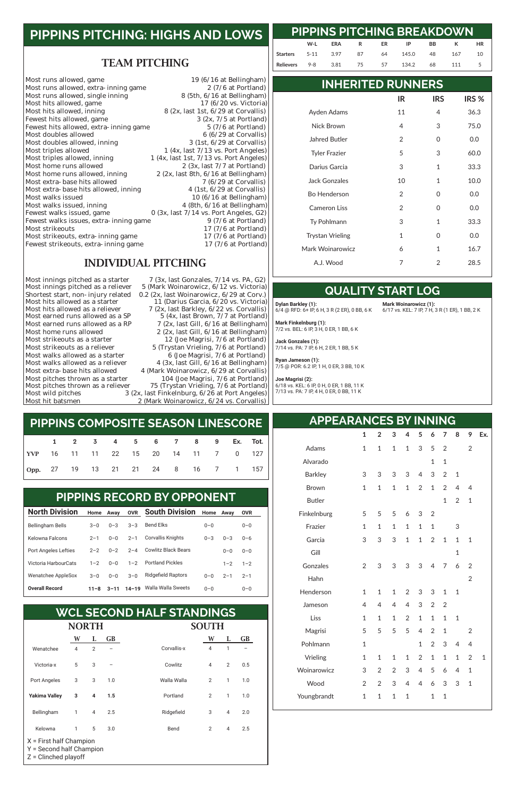#### TEAM PITCHING

| Most runs allowed, game                | 19 $(6/16$ at Bellingham)                   |
|----------------------------------------|---------------------------------------------|
| Most runs allowed, extra-inning game   | $2(7/6$ at Portland)                        |
| Most runs allowed, single inning       | 8 (5th, 6/16 at Bellingham)                 |
| Most hits allowed, game                | $17(6/20 \text{ vs. Victoria})$             |
| Most hits allowed, inning              | $8$ (2x, last 1st, $6/29$ at Corvallis)     |
| Fewest hits allowed, game              | $3$ (2x, $7/5$ at Portland)                 |
| Fewest hits allowed, extra-inning game | $5(7/6$ at Portland)                        |
| Most doubles allowed                   | $6(6/29$ at Corvallis)                      |
| Most doubles allowed, inning           | $3$ (1st, $6/29$ at Corvallis)              |
| Most triples allowed                   | $1$ (4x, last $7/13$ vs. Port Angeles)      |
| Most triples allowed, inning           | $1$ (4x, last 1st, $7/13$ vs. Port Angeles) |
| Most home runs allowed                 | 2 $(3x, last 7/7 at Portland)$              |
| Most home runs allowed, inning         | $2$ (2x, last 8th, $6/16$ at Bellingham)    |
| Most extra-base hits allowed           | $7(6/29$ at Corvallis)                      |
| Most extra-base hits allowed, inning   | $4$ (1st, $6/29$ at Corvallis)              |
| Most walks issued                      | 10 $(6/16$ at Bellingham)                   |
| Most walks issued, inning              | 4 (8th, 6/16 at Bellingham)                 |
| Fewest walks issued, game              | $0$ (3x, last $7/14$ vs. Port Angeles, G2)  |
| Fewest walks issues, extra-inning game | $9(7/6$ at Portland)                        |
| Most strikeouts                        | 17 (7/6 at Portland)                        |
| Most strikeouts, extra-inning game     | 17 (7/6 at Portland)                        |
| Fewest strikeouts, extra-inning game   | 17 $(7/6$ at Portland)                      |

#### INDIVIDUAL PITCHING

Most pitches thrown as a starter<br>Most pitches thrown as a reliever

Most innings pitched as a starter 7 (3x, last Gonzales, 7/14 vs. PA, G2)<br>Most innings pitched as a reliever 5 (Mark Woinarowicz, 6/12 vs. Victoria) 5 (Mark Woinarowicz, 6/12 vs. Victoria) Shortest start, non-injury related 0.2 (2x, last Woinarowicz, 6/29 at Corv.)<br>Most hits allowed as a starter 11 (Darius Garcia, 6/20 vs. Victoria) Most hits allowed as a starter 11 (Darius Garcia,  $6/20$  vs. Victoria)<br>Most hits allowed as a reliever 7 (2x, last Barkley,  $6/22$  vs. Corvallis) Most hits allowed as a reliever 7 (2x, last Barkley, 6/22 vs. Corvallis)<br>Most earned runs allowed as a SP 5 (4x, last Brown, 7/7 at Portland) Most earned runs allowed as a SP  $\qquad \qquad 5$  (4x, last Brown, 7/7 at Portland)<br>Most earned runs allowed as a RP  $\qquad \qquad 7$  (2x, last Gill, 6/16 at Bellingham) Most earned runs allowed as a RP  $\qquad \qquad$  7 (2x, last Gill, 6/16 at Bellingham)<br>Most home runs allowed  $\qquad \qquad$  2 (2x, last Gill, 6/16 at Bellingham) Most home runs allowed 2 (2x, last Gill, 6/16 at Bellingham)<br>Most strikeouts as a starter 12 (Joe Magrisi, 7/6 at Portland) Most strikeouts as a starter 12 (Joe Magrisi, 7/6 at Portland)<br>Most strikeouts as a reliever 5 (Trystan Vrieling, 7/6 at Portland) Most strikeouts as a reliever 5 (Trystan Vrieling, 7/6 at Portland)<br>Most walks allowed as a starter 6 (Joe Magrisi, 7/6 at Portland) Most walks allowed as a starter  $\begin{array}{r} 6 \end{array}$  (Joe Magrisi, 7/6 at Portland)<br>Most walks allowed as a reliever  $\begin{array}{r} 4 \end{array}$  (3x, last Gill, 6/16 at Bellingham) Most walks allowed as a reliever  $\begin{array}{r} 4 \ (3x, \text{ last Gill, } 6/16 \text{ at Bellingham}) \\ \text{Most extra-base hits allowed} \end{array}$  4 (Mark Woinarowicz, 6/29 at Corvallis) 4 (Mark Woinarowicz, 6/29 at Corvallis)<br>104 (Joe Magrisi, 7/6 at Portland) Most pitches thrown as a reliever 75 (Trystan Vrieling, 7/6 at Portland)<br>Most wild pitches 3 (2x, last Finkelnburg, 6/26 at Port Angeles) Most wild pitches 3 (2x, last Finkelnburg, 6/26 at Port Angeles)<br>Most hit batsmen 2 (Mark Woinarowicz, 6/24 vs. Corvallis) 2 (Mark Woinarowicz, 6/24 vs. Corvallis)

### **PIPPINS PITCHING: HIGHS AND LOWS**

|                                     |  |  |  | 1 2 3 4 5 6 7 8 9 Ex. Tot. |  |  |
|-------------------------------------|--|--|--|----------------------------|--|--|
| YVP 16 11 11 22 15 20 14 11 7 0 127 |  |  |  |                            |  |  |
| Opp. 27 19 13 21 21 24 8 16 7 1 157 |  |  |  |                            |  |  |

#### **PIPPINS COMPOSITE SEASON LINESCORE**

| <b>North Division</b>   | Home    | Away    | <b>OVR</b> | <b>South Division</b>                | Home    | Away    | <b>OVR</b> |
|-------------------------|---------|---------|------------|--------------------------------------|---------|---------|------------|
| <b>Bellingham Bells</b> | $3 - 0$ | $0 - 3$ | $3 - 3$    | Bend Elks                            | $0 - 0$ |         | $0 - 0$    |
| Kelowna Falcons         | $2 - 1$ | $0 - 0$ | $2 - 1$    | Corvallis Knights                    | $0 - 3$ | $0 - 3$ | $0 - 6$    |
| Port Angeles Lefties    | $2 - 2$ | $0 - 2$ | $2 - 4$    | Cowlitz Black Bears                  |         | $0 - 0$ | $0 - 0$    |
| Victoria HarbourCats    | $1 - 2$ | $0 - 0$ | $1 - 2$    | <b>Portland Pickles</b>              |         | $1 - 2$ | $1 - 2$    |
| Wenatchee AppleSox      | $3 - 0$ | $0 - 0$ | $3 - 0$    | <b>Ridgefield Raptors</b><br>$0 - 0$ |         | $2 - 1$ | $2 - 1$    |
|                         |         |         |            |                                      |         |         |            |

#### PIPPINS RECORD BY OPPONENT **PIPPINS RECORD BY OPPONENT**

#### 0–0 0–0

|                                                                                 | <b>NORTH</b>   |                |     |             |                |                |           |
|---------------------------------------------------------------------------------|----------------|----------------|-----|-------------|----------------|----------------|-----------|
|                                                                                 | W              | L              | GB  |             | W              | L              | <b>GB</b> |
| Wenatchee                                                                       | $\overline{4}$ | $\overline{2}$ |     | Corvallis-x | 4              | 1              |           |
| Victoria-x                                                                      | 5              | 3              |     | Cowlitz     | 4              | 2              | 0.5       |
| Port Angeles                                                                    | 3              | 3              | 1.0 | Walla Walla | 2              | 1              | 1.0       |
| <b>Yakima Valley</b>                                                            | 3              | 4              | 1.5 | Portland    | 2              | $\mathbf{1}$   | 1.0       |
| Bellingham                                                                      | 1              | 4              | 2.5 | Ridgefield  | 3              | $\overline{4}$ | 2.0       |
| Kelowna                                                                         | 1              | 5              | 3.0 | Bend        | $\overline{2}$ | 4              | 2.5       |
| $X =$ First half Champion<br>Y = Second half Champion<br>$Z =$ Clinched playoff |                |                |     |             |                |                |           |

### **WCL SECOND HALF STANDINGS**

#### **INHERITED RUNNERS**

#### **QUALITY START LOG**

#### **APPEARANCES BY INNING**

#### **PIPPINS PITCHING BREAKDOWN W-L ERA R ER IP BB K HR Starters** 5-11 3.97 87 64 145.0 48 167 10 **Relievers** 9-8 3.81 75 57 134.2 68 111 5

|                         | IR           | <b>IRS</b> | IRS <sub>%</sub> |
|-------------------------|--------------|------------|------------------|
| Ayden Adams             | 11           | 4          | 36.3             |
| Nick Brown              | 4            | 3          | 75.0             |
| Jahred Butler           | 2            | O          | 0.0              |
| <b>Tyler Frazier</b>    | 5            | 3          | 60.0             |
| Darius Garcia           | 3            | 1          | 33.3             |
| Jack Gonzales           | 10           | 1          | 10.0             |
| <b>Bo Henderson</b>     | 2            | 0          | 0.0              |
| <b>Cameron Liss</b>     | 2            | 0          | 0.0              |
| Ty Pohlmann             | 3            | 1          | 33.3             |
| <b>Trystan Vrieling</b> | $\mathbf{1}$ | 0          | 0.0              |
| Mark Woinarowicz        | 6            | 1          | 16.7             |
| A.J. Wood               | 7            | 2          | 28.5             |

|                | $\mathbf{1}$   | $\overline{2}$ | 3              | 4              | 5              | 6              | 7              | 8              | 9              | Ex.          |
|----------------|----------------|----------------|----------------|----------------|----------------|----------------|----------------|----------------|----------------|--------------|
| Adams          | $\mathbf{1}$   | $\overline{1}$ | $\overline{1}$ | $\mathbf{1}$   | 3              | 5              | $\overline{2}$ |                | $\overline{2}$ |              |
| Alvarado       |                |                |                |                |                | $\overline{1}$ | $\mathbf{1}$   |                |                |              |
| <b>Barkley</b> | 3              | 3              | 3              | 3              | 4              | 3              | $\overline{2}$ | $\mathbf{1}$   |                |              |
| <b>Brown</b>   | $\mathbf{1}$   | $\mathbf{1}$   | $\mathbf{1}$   | $\mathbf{1}$   | $\overline{2}$ | $\mathbf{1}$   | $\overline{2}$ | 4              | 4              |              |
| <b>Butler</b>  |                |                |                |                |                |                | $\mathbf{1}$   | $\overline{2}$ | $\mathbf{1}$   |              |
| Finkelnburg    | 5              | 5              | 5              | 6              | 3              | $\overline{2}$ |                |                |                |              |
| Frazier        | $\mathbf{1}$   | $\mathbf{1}$   | $\mathbf 1$    | $\mathbf{1}$   | $\mathbf{1}$   | $\mathbf 1$    |                | 3              |                |              |
| Garcia         | 3              | 3              | 3              | $\overline{1}$ | $\mathbf 1$    | $\overline{2}$ | $\mathbf{1}$   | $\overline{1}$ | $\mathbf 1$    |              |
| Gill           |                |                |                |                |                |                |                | $\overline{1}$ |                |              |
| Gonzales       | $\overline{2}$ | 3              | 3              | 3              | 3              | 4              | 7              | 6              | $\overline{2}$ |              |
| Hahn           |                |                |                |                |                |                |                |                | $\overline{2}$ |              |
| Henderson      | $\mathbf{1}$   | $\mathbf{1}$   | $\mathbf{1}$   | $\overline{2}$ | 3              | 3              | $\mathbf{1}$   | $\mathbf 1$    |                |              |
| Jameson        | $\overline{4}$ | 4              | 4              | $\overline{4}$ | 3              | $\overline{2}$ | $\overline{2}$ |                |                |              |
| Liss           | $\mathbf{1}$   | $\overline{1}$ | $\overline{1}$ | $\overline{2}$ | $\overline{1}$ | $\mathbf{1}$   | $\mathbf{1}$   | $\overline{1}$ |                |              |
| Magrisi        | 5              | 5              | 5              | 5              | 4              | $\overline{2}$ | $\overline{1}$ |                | $\overline{2}$ |              |
| Pohlmann       | $\mathbf{1}$   |                |                |                | $\mathbf{1}$   | $\overline{2}$ | 3              | $\overline{4}$ | 4              |              |
| Vrieling       | $\mathbf{1}$   | $\mathbf{1}$   | $\mathbf{1}$   | $\mathbf{1}$   | $\overline{2}$ | $\mathbf{1}$   | $\mathbf{1}$   | $\mathbf{1}$   | $\overline{2}$ | $\mathbf{1}$ |
| Woinarowicz    | 3              | $\overline{2}$ | $\overline{2}$ | 3              | $\overline{4}$ | 5              | 6              | 4              | $\mathbf 1$    |              |
| Wood           | $\overline{2}$ | $\overline{2}$ | 3              | 4              | 4              | 6              | 3              | 3              | $\mathbf 1$    |              |
| Youngbrandt    | $\mathbf{1}$   | $\mathbf 1$    | $\mathbf 1$    | $\overline{1}$ |                | $\mathbf 1$    | $\overline{1}$ |                |                |              |

**Dylan Barkley (1):**  6/4 @ RFD: 6+ IP, 6 H, 3 R (2 ER), 0 BB, 6 K

**Mark Finkelnburg (1):** 7/2 vs. BEL: 6 IP, 3 H, 0 ER, 1 BB, 6 K

**Jack Gonzales (1):** 7/14 vs. PA: 7 IP, 6 H, 2 ER, 1 BB, 5 K

**Ryan Jameson (1):** 7/5 @ POR: 6.2 IP, 1 H, 0 ER, 3 BB, 10 K

**Joe Magrisi (2):** 6/18 vs. KEL: 6 IP, 0 H, 0 ER, 1 BB, 11 K 7/13 vs. PA: 7 IP, 4 H, 0 ER, 0 BB, 11 K

**Mark Woinarowicz (1):**

6/17 vs. KEL: 7 IP, 7 H, 3 R (1 ER), 1 BB, 2 K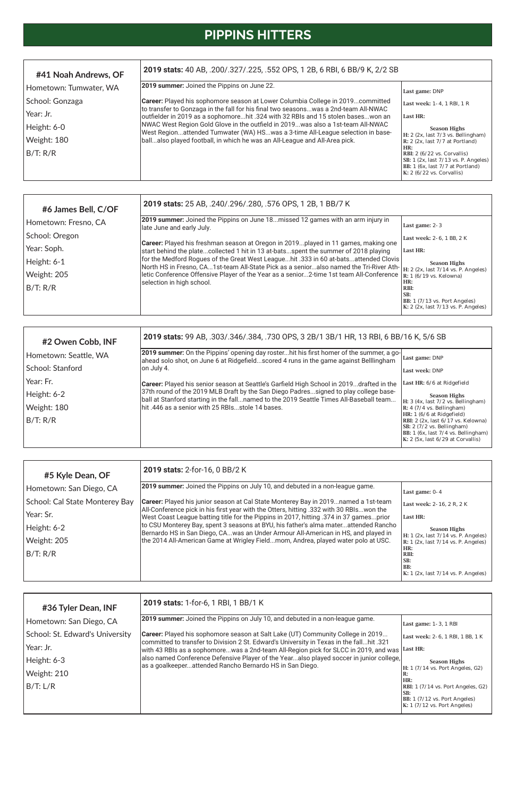| #2 Owen Cobb, INF     | 2019 stats: 99 AB, .303/.346/.384, .730 OPS, 3 2B/1 3B/1 HR, 13 RBI, 6 BB/16 K, 5/6 SB                                                                                                                                             |                                                                                                                                                                                          |
|-----------------------|------------------------------------------------------------------------------------------------------------------------------------------------------------------------------------------------------------------------------------|------------------------------------------------------------------------------------------------------------------------------------------------------------------------------------------|
| Hometown: Seattle, WA | [2019 summer: On the Pippins' opening day rosterhit his first homer of the summer, a go-<br>ahead solo shot, on June 6 at Ridgefieldscored 4 runs in the game against Belllingham                                                  | Last game: DNP                                                                                                                                                                           |
| School: Stanford      | on July 4.                                                                                                                                                                                                                         | Last week: DNP                                                                                                                                                                           |
| Year: Fr.             | <b>Career:</b> Played his senior season at Seattle's Garfield High School in 2019drafted in the                                                                                                                                    | Last HR: 6/6 at Ridgefield                                                                                                                                                               |
| Height: 6-2           | 37th round of the 2019 MLB Draft by the San Diego Padressigned to play college base-<br>ball at Stanford starting in the fallnamed to the 2019 Seattle Times All-Baseball team<br>hit .446 as a senior with 25 RBIsstole 14 bases. | <b>Season Highs</b>                                                                                                                                                                      |
| Weight: 180           |                                                                                                                                                                                                                                    | H: 3 (4x, last 7/2 vs. Bellingham)<br>$\mathbf{R}: 4$ (7/4 vs. Bellingham)                                                                                                               |
| B/T: R/R              |                                                                                                                                                                                                                                    | HR: 1 (6/6 at Ridgefield)<br>RBI: 2 (2x, last 6/17 vs. Kelowna)<br>$ SB: 2 (7/2 \text{ vs. Bellingham})$<br>BB: 1 (6x, last 7/4 vs. Bellingham)<br>$K: 2$ (5x, last $6/29$ at Corvallis) |

| #6 James Bell, C/OF  | 2019 stats: 25 AB, .240/.296/.280, .576 OPS, 1 2B, 1 BB/7 K                                                                                                                                                                                                                                                                                                                                                                                                                                |                                                                 |  |
|----------------------|--------------------------------------------------------------------------------------------------------------------------------------------------------------------------------------------------------------------------------------------------------------------------------------------------------------------------------------------------------------------------------------------------------------------------------------------------------------------------------------------|-----------------------------------------------------------------|--|
| Hometown: Fresno, CA | 2019 summer: Joined the Pippins on June 18missed 12 games with an arm injury in<br>late June and early July.                                                                                                                                                                                                                                                                                                                                                                               | Last game: 2-3                                                  |  |
| School: Oregon       |                                                                                                                                                                                                                                                                                                                                                                                                                                                                                            | Last week: 2-6, 1 BB, 2 K                                       |  |
| Year: Soph.          | <b>Career:</b> Played his freshman season at Oregon in 2019played in 11 games, making one<br>start behind the platecollected 1 hit in 13 at-batsspent the summer of 2018 playing<br>for the Medford Rogues of the Great West Leaguehit .333 in 60 at-batsattended Clovis<br>North HS in Fresno, CA1st-team All-State Pick as a senioralso named the Tri-River Ath-<br>letic Conference Offensive Player of the Year as a senior2-time 1st team All-Conference<br>selection in high school. | Last HR:                                                        |  |
| Height: 6-1          |                                                                                                                                                                                                                                                                                                                                                                                                                                                                                            | <b>Season Highs</b>                                             |  |
| Weight: 205          |                                                                                                                                                                                                                                                                                                                                                                                                                                                                                            | H: 2 (2x, last 7/14 vs. P. Angeles)<br>R: $1(6/19$ vs. Kelowna) |  |
| B/T: R/R             |                                                                                                                                                                                                                                                                                                                                                                                                                                                                                            | HR:<br>RBI:<br>SB:<br>BB: $1(7/13 \text{ vs. Port Angeles})$    |  |
|                      |                                                                                                                                                                                                                                                                                                                                                                                                                                                                                            | K: 2 (2x, last 7/13 vs. P. Angeles)                             |  |

| #41 Noah Andrews, OF   | 2019 stats: 40 AB, .200/.327/.225, .552 OPS, 1 2B, 6 RBI, 6 BB/9 K, 2/2 SB                                                                                                                                                                                                                                                                                                                                                     |                                                                                                                                                                        |  |  |
|------------------------|--------------------------------------------------------------------------------------------------------------------------------------------------------------------------------------------------------------------------------------------------------------------------------------------------------------------------------------------------------------------------------------------------------------------------------|------------------------------------------------------------------------------------------------------------------------------------------------------------------------|--|--|
| Hometown: Tumwater, WA | 2019 summer: Joined the Pippins on June 22.                                                                                                                                                                                                                                                                                                                                                                                    | Last game: DNP                                                                                                                                                         |  |  |
| School: Gonzaga        | Career: Played his sophomore season at Lower Columbia College in 2019committed<br>to transfer to Gonzaga in the fall for his final two seasonswas a 2nd-team All-NWAC<br>outfielder in 2019 as a sophomorehit .324 with 32 RBIs and 15 stolen baseswon an<br>NWAC West Region Gold Glove in the outfield in 2019was also a 1st-team All-NWAC<br>West Regionattended Tumwater (WA) HSwas a 3-time All-League selection in base- | Last week: 1-4, 1 RBI, 1 R                                                                                                                                             |  |  |
| Year: Jr.              |                                                                                                                                                                                                                                                                                                                                                                                                                                | <b>Last HR:</b>                                                                                                                                                        |  |  |
| Height: 6-0            |                                                                                                                                                                                                                                                                                                                                                                                                                                | <b>Season Highs</b>                                                                                                                                                    |  |  |
| Weight: 180            | ballalso played football, in which he was an All-League and All-Area pick.                                                                                                                                                                                                                                                                                                                                                     | H: $2$ (2x, last $7/3$ vs. Bellingham)<br>R: $2$ (2x, last $7/7$ at Portland)                                                                                          |  |  |
| B/T: R/R               |                                                                                                                                                                                                                                                                                                                                                                                                                                | HR:<br>RBI: $2(6/22 \text{ vs. Corvallis})$<br>SB: $1$ (2x, last $7/13$ vs. P. Angeles)<br>BB: $1$ (6x, last $7/7$ at Portland)<br>$K: 2 (6/22 \text{ vs. Corvallis})$ |  |  |

| #36 Tyler Dean, INF             | 2019 stats: 1-for-6, 1 RBI, 1 BB/1 K                                                                                                                                               |                                                                                                                              |
|---------------------------------|------------------------------------------------------------------------------------------------------------------------------------------------------------------------------------|------------------------------------------------------------------------------------------------------------------------------|
| Hometown: San Diego, CA         | 2019 summer: Joined the Pippins on July 10, and debuted in a non-league game.                                                                                                      | Last game: 1-3, 1 RBI                                                                                                        |
| School: St. Edward's University | <b>Career:</b> Played his sophomore season at Salt Lake (UT) Community College in 2019<br>committed to transfer to Division 2 St. Edward's University in Texas in the fallhit .321 | Last week: 2-6, 1 RBI, 1 BB, 1 K                                                                                             |
| Year: Jr.                       | with 43 RBIs as a sophomorewas a 2nd-team All-Region pick for SLCC in 2019, and was                                                                                                | Last HR:                                                                                                                     |
| Height: 6-3                     | also named Conference Defensive Player of the Yearalso played soccer in junior college,<br>as a goalkeeperattended Rancho Bernardo HS in San Diego.                                | <b>Season Highs</b>                                                                                                          |
| Weight: 210                     |                                                                                                                                                                                    | H: $1(7/14 \text{ vs. Port Angeles}, G2)$<br>ĸ:                                                                              |
| B/T: L/R                        |                                                                                                                                                                                    | HR:<br>RBI: 1 (7/14 vs. Port Angeles, G2)<br>ISB:<br>BB: 1 (7/12 vs. Port Angeles)<br>$K: 1 (7/12 \text{ vs. Port Angeles})$ |

| #5 Kyle Dean, OF               | 2019 stats: 2-for-16, 0 BB/2 K                                                                                                                                                                                                                                                                                                                                                                                                                                                                                                           |                                                                            |
|--------------------------------|------------------------------------------------------------------------------------------------------------------------------------------------------------------------------------------------------------------------------------------------------------------------------------------------------------------------------------------------------------------------------------------------------------------------------------------------------------------------------------------------------------------------------------------|----------------------------------------------------------------------------|
| Hometown: San Diego, CA        | 2019 summer: Joined the Pippins on July 10, and debuted in a non-league game.                                                                                                                                                                                                                                                                                                                                                                                                                                                            | Last game: $0-4$                                                           |
| School: Cal State Monterey Bay | Career: Played his junior season at Cal State Monterey Bay in 2019named a 1st-team<br>All-Conference pick in his first year with the Otters, hitting .332 with 30 RBIswon the<br>West Coast League batting title for the Pippins in 2017, hitting .374 in 37 gamesprior<br>to CSU Monterey Bay, spent 3 seasons at BYU, his father's alma materattended Rancho<br>Bernardo HS in San Diego, CAwas an Under Armour All-American in HS, and played in<br>the 2014 All-American Game at Wrigley Fieldmom, Andrea, played water polo at USC. | Last week: 2-16, 2 R, 2 K                                                  |
| Year: Sr.                      |                                                                                                                                                                                                                                                                                                                                                                                                                                                                                                                                          | Last HR:                                                                   |
| Height: 6-2                    |                                                                                                                                                                                                                                                                                                                                                                                                                                                                                                                                          | <b>Season Highs</b>                                                        |
| Weight: 205                    |                                                                                                                                                                                                                                                                                                                                                                                                                                                                                                                                          | H: 1 (2x, last 7/14 vs. P. Angeles)<br>R: 1 (2x, last 7/14 vs. P. Angeles) |
| B/T: R/R                       |                                                                                                                                                                                                                                                                                                                                                                                                                                                                                                                                          | HR:<br>RBI:                                                                |
|                                |                                                                                                                                                                                                                                                                                                                                                                                                                                                                                                                                          | SB:<br>l BB:<br>K: 1 (2x, last 7/14 vs. P. Angeles)                        |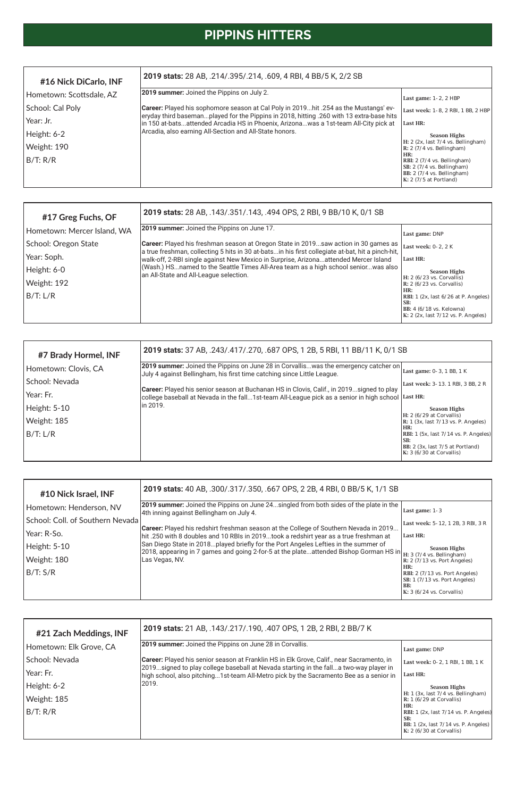| #10 Nick Israel, INF             | 2019 stats: 40 AB, .300/.317/.350, .667 OPS, 2 2B, 4 RBI, 0 BB/5 K, 1/1 SB                                                                                                                                               |                                       |
|----------------------------------|--------------------------------------------------------------------------------------------------------------------------------------------------------------------------------------------------------------------------|---------------------------------------|
| Hometown: Henderson, NV          | 2019 summer: Joined the Pippins on June 24singled from both sides of the plate in the<br>4th inning against Bellingham on July 4.                                                                                        | Last game: 1-3                        |
| School: Coll. of Southern Nevada |                                                                                                                                                                                                                          | Last week: 5-12, 1 2B, 3 RBI, 3 R     |
| Year: R-So.                      | <b>Career:</b> Played his redshirt freshman season at the College of Southern Nevada in 2019<br>hit .250 with 8 doubles and 10 RBIs in 2019took a redshirt year as a true freshman at                                    | Last HR:                              |
| Height: 5-10                     | San Diego State in 2018played briefly for the Port Angeles Lefties in the summer of<br>2018, appearing in 7 games and going 2-for-5 at the plateattended Bishop Gorman HS in H: 3 (7/4 vs. Bellingham)<br>Las Vegas, NV. | <b>Season Highs</b>                   |
| Weight: 180                      |                                                                                                                                                                                                                          | $R: 2$ (7/13 vs. Port Angeles)<br>HR: |
| B/T: S/R                         |                                                                                                                                                                                                                          | RBI: 2 (7/13 vs. Port Angeles)        |
|                                  |                                                                                                                                                                                                                          | SB: 1 (7/13 vs. Port Angeles)<br>BB:  |

| #16 Nick DiCarlo, INF    | 2019 stats: 28 AB, .214/.395/.214, .609, 4 RBI, 4 BB/5 K, 2/2 SB                                                                                                                 |                                                                                                                              |
|--------------------------|----------------------------------------------------------------------------------------------------------------------------------------------------------------------------------|------------------------------------------------------------------------------------------------------------------------------|
| Hometown: Scottsdale, AZ | <b>2019 summer:</b> Joined the Pippins on July 2.                                                                                                                                | Last game: $1-2$ , $2$ HBP                                                                                                   |
| School: Cal Poly         | Career: Played his sophomore season at Cal Poly in 2019hit .254 as the Mustangs' ev-<br>eryday third basemanplayed for the Pippins in 2018, hitting .260 with 13 extra-base hits | Last week: 1-8. 2 RBI. 1 BB. 2 HBP                                                                                           |
| Year: Jr.                | in 150 at-batsattended Arcadia HS in Phoenix, Arizonawas a 1st-team All-City pick at                                                                                             | Last HR:                                                                                                                     |
| Height: 6-2              | Arcadia, also earning All-Section and All-State honors.                                                                                                                          | <b>Season Highs</b>                                                                                                          |
| Weight: 190              |                                                                                                                                                                                  | H: 2 (2x, last 7/4 vs. Bellingham)<br>$\mathbb{R}: 2(7/4 \text{ vs. Bellingham})$                                            |
| B/T: R/R                 |                                                                                                                                                                                  | l HR:<br> RBI: 2 (7/4 vs. Bellingham) <br>SB: 2 (7/4 vs. Bellingham)<br>BB: 2 (7/4 vs. Bellingham)<br>K: 2 (7/5 at Portland) |

| #7 Brady Hormel, INF | 2019 stats: 37 AB, .243/.417/.270, .687 OPS, 1 2B, 5 RBI, 11 BB/11 K, 0/1 SB                                                                                                                                  |                                                                                              |
|----------------------|---------------------------------------------------------------------------------------------------------------------------------------------------------------------------------------------------------------|----------------------------------------------------------------------------------------------|
| Hometown: Clovis, CA | 2019 summer: Joined the Pippins on June 28 in Corvalliswas the emergency catcher on<br>July 4 against Bellingham, his first time catching since Little League.                                                | Last game: 0-3, 1 BB, 1 K                                                                    |
| School: Nevada       |                                                                                                                                                                                                               | Last week: 3-13. 1 RBI, 3 BB, 2 R                                                            |
| Year: Fr.            | <b>Career:</b> Played his senior season at Buchanan HS in Clovis, Calif., in 2019signed to play<br>college baseball at Nevada in the fall1st-team All-League pick as a senior in high school $\vert$ Last HR: |                                                                                              |
| Height: 5-10         | lin 2019.                                                                                                                                                                                                     | <b>Season Highs</b>                                                                          |
| Weight: 185          |                                                                                                                                                                                                               | $H: 2 (6/29$ at Corvallis)<br>$\mathbb{R}: 1 \times 1$ (3x, last 7/13 vs. P. Angeles)<br>HR: |
| B/T: L/R             |                                                                                                                                                                                                               | RBI: $1$ (5x, last $7/14$ vs. P. Angeles)<br>SB:                                             |
|                      |                                                                                                                                                                                                               | BB: 2 (3x, last 7/5 at Portland)<br>K: 3 (6/30 at Corvallis)                                 |

| #17 Greg Fuchs, OF          | 2019 stats: 28 AB, .143/.351/.143, .494 OPS, 2 RBI, 9 BB/10 K, 0/1 SB                                                                                                                          |                                                                                                                                |
|-----------------------------|------------------------------------------------------------------------------------------------------------------------------------------------------------------------------------------------|--------------------------------------------------------------------------------------------------------------------------------|
| Hometown: Mercer Island, WA | <b>2019 summer:</b> Joined the Pippins on June 17.                                                                                                                                             | Last game: DNP                                                                                                                 |
| School: Oregon State        | <b>Career:</b> Played his freshman season at Oregon State in 2019saw action in 30 games as<br>a true freshman, collecting 5 hits in 30 at-batsin his first collegiate at-bat, hit a pinch-hit, | Last week: 0-2, 2 K                                                                                                            |
| Year: Soph.                 | walk-off, 2-RBI single against New Mexico in Surprise, Arizonaattended Mercer Island                                                                                                           | Last HR:                                                                                                                       |
| Height: 6-0                 | (Wash.) HSnamed to the Seattle Times All-Area team as a high school seniorwas also<br>an All-State and All-League selection.                                                                   | <b>Season Highs</b>                                                                                                            |
| Weight: 192                 |                                                                                                                                                                                                | $H: 2 (6/23 \text{ vs. Corvallis})$<br>$\mathbb{R}$ : 2 (6/23 vs. Corvallis)                                                   |
| B/T: L/R                    |                                                                                                                                                                                                | HR:<br>RBI: 1 (2x, last 6/26 at P. Angeles)<br>SB:<br>BB: $4(6/18 \text{ vs.}$ Kelowna)<br>K: 2 (2x, last 7/12 vs. P. Angeles) |

| #21 Zach Meddings, INF  | 2019 stats: 21 AB, .143/.217/.190, .407 OPS, 1 2B, 2 RBI, 2 BB/7 K                                                                                                              |                                                                                                                                  |
|-------------------------|---------------------------------------------------------------------------------------------------------------------------------------------------------------------------------|----------------------------------------------------------------------------------------------------------------------------------|
| Hometown: Elk Grove, CA | <b>2019 summer:</b> Joined the Pippins on June 28 in Corvallis.                                                                                                                 | Last game: DNP                                                                                                                   |
| l School: Nevada        | Career: Played his senior season at Franklin HS in Elk Grove, Calif., near Sacramento, in                                                                                       | Last week: 0-2, 1 RBI, 1 BB, 1 K                                                                                                 |
| Year: Fr.               | 2019signed to play college baseball at Nevada starting in the falla two-way player in<br>high school, also pitching1st-team All-Metro pick by the Sacramento Bee as a senior in | Last HR:                                                                                                                         |
| Height: 6-2             | l2019.                                                                                                                                                                          | <b>Season Highs</b>                                                                                                              |
| Weight: 185             |                                                                                                                                                                                 | H: $1$ (3x, last $7/4$ vs. Bellingham)<br>$R: 1 (6/29$ at Corvallis)                                                             |
| B/T: R/R                |                                                                                                                                                                                 | HR:<br>RBI: $1$ (2x, last $7/14$ vs. P. Angeles)<br>SB:<br>BB: $1$ (2x, last $7/14$ vs. P. Angeles)<br>K: $2(6/30$ at Corvallis) |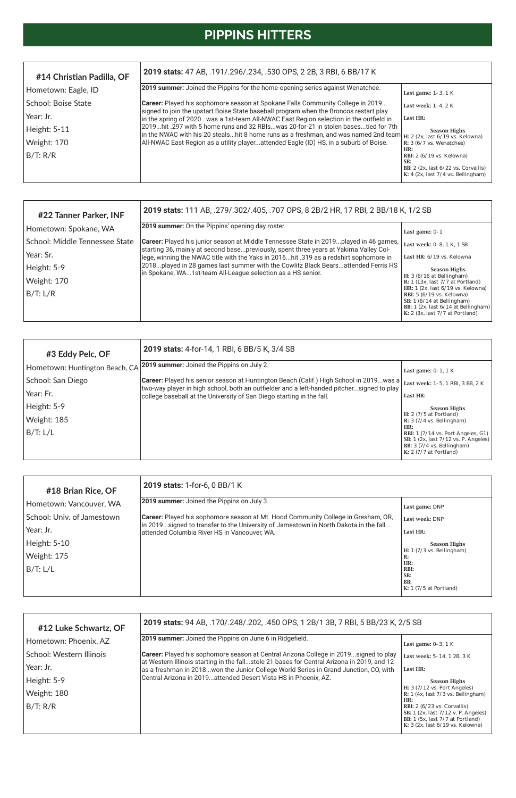| #18 Brian Rice, OF         | 2019 stats: 1-for-6, 0 BB/1 K                                                                                                         |                                          |
|----------------------------|---------------------------------------------------------------------------------------------------------------------------------------|------------------------------------------|
| Hometown: Vancouver, WA    | <b>2019 summer:</b> Joined the Pippins on July 3.                                                                                     | Last game: DNP                           |
| School: Univ. of Jamestown | <b>Career:</b> Played his sophomore season at Mt. Hood Community College in Gresham, OR,                                              | Last week: DNP                           |
| Year: Jr.                  | [in 2019signed to transfer to the University of Jamestown in North Dakota in the fall<br>attended Columbia River HS in Vancouver, WA. | Last HR:                                 |
| Height: 5-10               |                                                                                                                                       | <b>Season Highs</b>                      |
| Weight: 175                |                                                                                                                                       | H: $1(7/3 \text{ vs. Bellingham})$<br>R: |
| B/T: L/L                   |                                                                                                                                       | HR:<br>RBI:                              |
|                            |                                                                                                                                       | SB:<br>BB:                               |

| #3 Eddy Pelc, OF               | 2019 stats: 4-for-14, 1 RBI, 6 BB/5 K, 3/4 SB                                                                                                                      |                                                                                                                                                                  |
|--------------------------------|--------------------------------------------------------------------------------------------------------------------------------------------------------------------|------------------------------------------------------------------------------------------------------------------------------------------------------------------|
| Hometown: Huntington Beach, CA | <b>2019 summer:</b> Joined the Pippins on July 2.                                                                                                                  | Last game: $0-1$ , $1$ K                                                                                                                                         |
| School: San Diego              | Career: Played his senior season at Huntington Beach (Calif.) High School in 2019. was a Last week: 1-5, 1 RBI, 3 BB, 2 K                                          |                                                                                                                                                                  |
| Year: Fr.                      | two-way player in high school, both an outfielder and a left-handed pitchersigned to play<br>college baseball at the University of San Diego starting in the fall. | Last HR:                                                                                                                                                         |
| Height: 5-9                    |                                                                                                                                                                    | <b>Season Highs</b>                                                                                                                                              |
| Weight: 185                    |                                                                                                                                                                    | H: $2(7/5$ at Portland)<br>R: $3(7/4 \text{ vs. Bellingham})$                                                                                                    |
| B/T: L/L                       |                                                                                                                                                                    | HR:<br>RBI: $1(7/14 \text{ vs. Port Angeles}, G1)$<br>SB: $1$ (2x, last $7/12$ vs. P. Angeles)<br>BB: $3(7/4 \text{ vs. Bellingham})$<br>K: $2(7/7$ at Portland) |

| #22 Tanner Parker, INF         | 2019 stats: 111 AB, .279/.302/.405, .707 OPS, 8 2B/2 HR, 17 RBI, 2 BB/18 K, 1/2 SB                                                                                                    |                                                                                                                                                                                            |  |  |  |  |
|--------------------------------|---------------------------------------------------------------------------------------------------------------------------------------------------------------------------------------|--------------------------------------------------------------------------------------------------------------------------------------------------------------------------------------------|--|--|--|--|
| Hometown: Spokane, WA          | <b>2019 summer:</b> On the Pippins' opening day roster.                                                                                                                               | Last game: $0-1$                                                                                                                                                                           |  |  |  |  |
| School: Middle Tennessee State | <b>Career:</b> Played his junior season at Middle Tennessee State in 2019played in 46 games,<br>starting 36, mainly at second basepreviously, spent three years at Yakima Valley Col- | Last week: 0-8, 1 K, 1 SB                                                                                                                                                                  |  |  |  |  |
| Year: Sr.                      | lege, winning the NWAC title with the Yaks in 2016hit .319 as a redshirt sophomore in                                                                                                 | Last HR: 6/19 vs. Kelowna                                                                                                                                                                  |  |  |  |  |
| Height: 5-9                    | 2018played in 28 games last summer with the Cowlitz Black Bearsattended Ferris HS<br>in Spokane, WA1st-team All-League selection as a HS senior.                                      | <b>Season Highs</b>                                                                                                                                                                        |  |  |  |  |
| Weight: 170                    |                                                                                                                                                                                       | H: $3(6/16$ at Bellingham)<br>R: $1(13x, last 7/7 at Portland)$                                                                                                                            |  |  |  |  |
| B/T: L/R                       |                                                                                                                                                                                       | HR: $1$ (2x, last $6/19$ vs. Kelowna)<br><b>RBI:</b> 5 (6/19 vs. Kelowna)<br>SB: $1(6/14$ at Bellingham)<br>BB: $1$ (2x, last $6/14$ at Bellingham)<br>K: $2$ (3x, last $7/7$ at Portland) |  |  |  |  |

| #14 Christian Padilla, OF | 2019 stats: 47 AB, .191/.296/.234, .530 OPS, 2 2B, 3 RBI, 6 BB/17 K                                                                                                                                           |                                                                                                                              |  |  |  |  |
|---------------------------|---------------------------------------------------------------------------------------------------------------------------------------------------------------------------------------------------------------|------------------------------------------------------------------------------------------------------------------------------|--|--|--|--|
| Hometown: Eagle, ID       | 2019 summer: Joined the Pippins for the home-opening series against Wenatchee.                                                                                                                                | Last game: 1-3, 1 K                                                                                                          |  |  |  |  |
| School: Boise State       | Career: Played his sophomore season at Spokane Falls Community College in 2019                                                                                                                                | Last week: 1-4, 2 K                                                                                                          |  |  |  |  |
| Year: Jr.                 | signed to join the upstart Boise State baseball program when the Broncos restart play<br>in the spring of 2020was a 1st-team All-NWAC East Region selection in the outfield in                                | Last HR:                                                                                                                     |  |  |  |  |
| Height: 5-11              | 2019hit .297 with 5 home runs and 32 RBIswas 20-for-21 in stolen basestied for 7th<br>in the NWAC with his 20 stealshit 8 home runs as a freshman, and was named 2nd team $_H: 2$ (2x, last 6/19 vs. Kelowna) | <b>Season Highs</b>                                                                                                          |  |  |  |  |
| Weight: 170               | All-NWAC East Region as a utility playerattended Eagle (ID) HS, in a suburb of Boise.                                                                                                                         | R: $3(6/7 \text{ vs. Wenatchee})$                                                                                            |  |  |  |  |
| B/T: R/R                  |                                                                                                                                                                                                               | HR:<br>RBI: 2 (6/19 vs. Kelowna)<br>SB:<br>BB: $2$ (2x, last $6/22$ vs. Corvallis)<br>K: $4$ (2x, last $7/4$ vs. Bellingham) |  |  |  |  |

| #12 Luke Schwartz, OF    | 2019 stats: 94 AB, .170/.248/.202, .450 OPS, 1 2B/1 3B, 7 RBI, 5 BB/23 K, 2/5 SB                                                                                                          |                                                                                                                                                                        |  |  |  |  |
|--------------------------|-------------------------------------------------------------------------------------------------------------------------------------------------------------------------------------------|------------------------------------------------------------------------------------------------------------------------------------------------------------------------|--|--|--|--|
| Hometown: Phoenix, AZ    | 2019 summer: Joined the Pippins on June 6 in Ridgefield.                                                                                                                                  | Last game: $0-3$ , $1 K$                                                                                                                                               |  |  |  |  |
| School: Western Illinois | <b>Career:</b> Played his sophomore season at Central Arizona College in 2019signed to play<br>at Western Illinois starting in the fallstole 21 bases for Central Arizona in 2019, and 12 | Last week: 5-14, 1 2B, 3 K                                                                                                                                             |  |  |  |  |
| Year: Jr.                | as a freshman in 2018won the Junior College World Series in Grand Junction, CO, with                                                                                                      | Last HR:                                                                                                                                                               |  |  |  |  |
| Height: 5-9              | Central Arizona in 2019attended Desert Vista HS in Phoenix, AZ.                                                                                                                           | <b>Season Highs</b>                                                                                                                                                    |  |  |  |  |
| Weight: 180              |                                                                                                                                                                                           | H: $3(7/12 \text{ vs. Port Angeles})$<br>R: $1$ (4x, last $7/3$ vs. Bellingham)                                                                                        |  |  |  |  |
| B/T: R/R                 |                                                                                                                                                                                           | HR:<br>RBI: $2(6/23 \text{ vs. Corvallis})$<br>SB: $1$ (2x, last $7/12$ v. P. Angeles)<br>BB: $1$ (5x, last $7/7$ at Portland)<br>K: $3$ (2x, last $6/19$ vs. Kelowna) |  |  |  |  |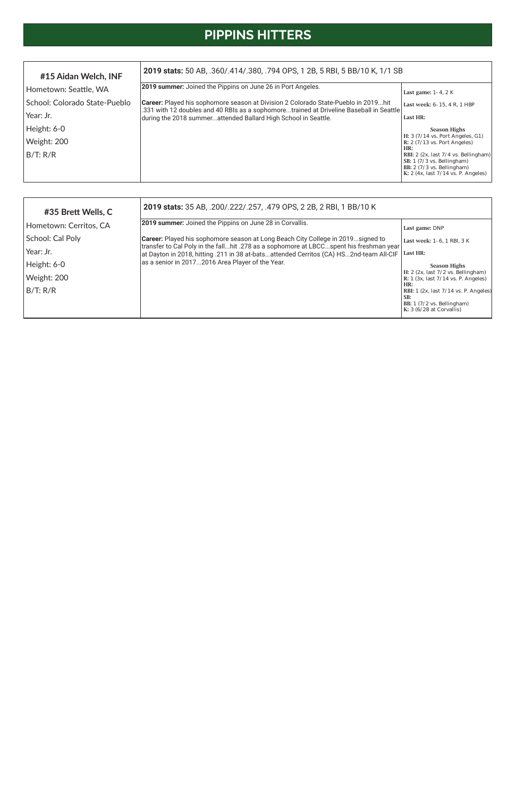| #35 Brett Wells, C     | 2019 stats: 35 AB, .200/.222/.257, .479 OPS, 2 2B, 2 RBI, 1 BB/10 K                                                                                                       |                                                                                       |  |  |  |  |
|------------------------|---------------------------------------------------------------------------------------------------------------------------------------------------------------------------|---------------------------------------------------------------------------------------|--|--|--|--|
| Hometown: Cerritos, CA | <b>2019 summer:</b> Joined the Pippins on June 28 in Corvallis.                                                                                                           | Last game: DNP                                                                        |  |  |  |  |
| School: Cal Poly       | Career: Played his sophomore season at Long Beach City College in 2019signed to<br>transfer to Cal Poly in the fallhit .278 as a sophomore at LBCCspent his freshman year | Last week: 1-6, 1 RBI, 3 K                                                            |  |  |  |  |
| Year: Jr.              | at Dayton in 2018, hitting .211 in 38 at-batsattended Cerritos (CA) HS2nd-team All-CIF                                                                                    | Last HR:                                                                              |  |  |  |  |
| Height: 6-0            | as a senior in 20172016 Area Player of the Year.                                                                                                                          | <b>Season Highs</b>                                                                   |  |  |  |  |
| Weight: 200            |                                                                                                                                                                           | H: 2 (2x, last 7/2 vs. Bellingham)<br>R: $1$ (3x, last $7/14$ vs. P. Angeles)         |  |  |  |  |
| B/T: R/R               |                                                                                                                                                                           | HR:<br>RBI: $1$ (2x, last $7/14$ vs. P. Angeles)<br>SB:<br>BB: 1 (7/2 vs. Bellingham) |  |  |  |  |
|                        |                                                                                                                                                                           | K: $3(6/28$ at Corvallis)                                                             |  |  |  |  |

| #15 Aidan Welch, INF          | 2019 stats: 50 AB, .360/.414/.380, .794 OPS, 1 2B, 5 RBI, 5 BB/10 K, 1/1 SB                                                                               |                                                                                                                                                                                                   |  |  |  |  |
|-------------------------------|-----------------------------------------------------------------------------------------------------------------------------------------------------------|---------------------------------------------------------------------------------------------------------------------------------------------------------------------------------------------------|--|--|--|--|
| Hometown: Seattle, WA         | 2019 summer: Joined the Pippins on June 26 in Port Angeles.                                                                                               | Last game: $1-4$ , $2K$                                                                                                                                                                           |  |  |  |  |
| School: Colorado State-Pueblo | <b>Career:</b> Played his sophomore season at Division 2 Colorado State-Pueblo in 2019hit                                                                 | Last week: 6-15, 4 R, 1 HBP                                                                                                                                                                       |  |  |  |  |
| Year: Jr.                     | .331 with 12 doubles and 40 RBIs as a sophomoretrained at Driveline Baseball in Seattle<br>during the 2018 summerattended Ballard High School in Seattle. | Last HR:                                                                                                                                                                                          |  |  |  |  |
| Height: 6-0                   |                                                                                                                                                           | <b>Season Highs</b>                                                                                                                                                                               |  |  |  |  |
| Weight: 200                   |                                                                                                                                                           | $H: 3 (7/14 \text{ vs. Port Angeles, } G1)$<br>$R: 2 (7/13 \text{ vs. Port Angeles})$                                                                                                             |  |  |  |  |
| B/T: R/R                      |                                                                                                                                                           | HR:<br>RBI: $2$ (2x, last 7/4 vs. Bellingham)<br>SB: $1(7/3 \text{ vs. Bellingham})$<br>BB: $2(7/3 \text{ vs. Bellingham})$<br>K: $2 \left( 4x, \text{last } 7/14 \text{ vs. P. Angeles} \right)$ |  |  |  |  |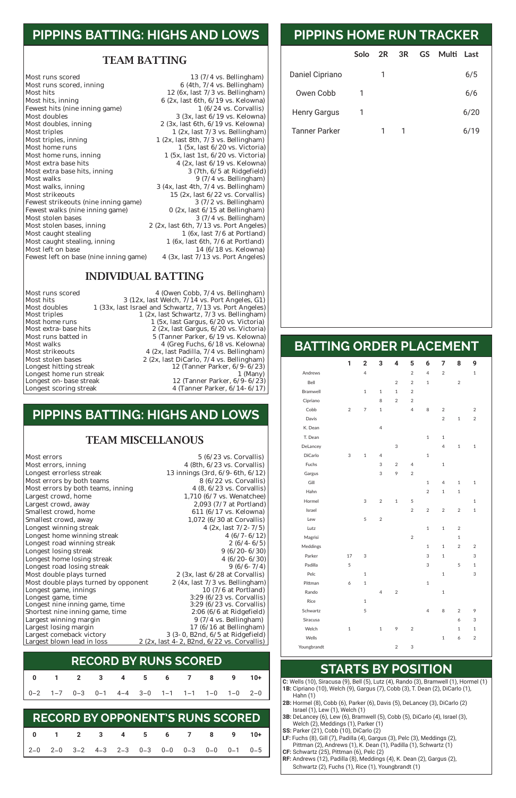### **PIPPINS BATTING: HIGHS AND LOWS**

#### TEAM BATTING

Most runs scored 13 (7/4 vs. Bellingham)<br>Most runs scored, inning 6 (4th, 7/4 vs. Bellingham) Most hits 12 (6x, last 7/3 vs. Bellingham) Most hits, inning<br>Fewest hits (nine inning game)<br> $\begin{array}{r} 6 (2x, last 6th, 6/19 \text{ vs. Kelowna}) \\ 1 (6/24 \text{ vs. Corvallis}) \end{array}$ Fewest hits (nine inning game)<br>Most doubles Most doubles<br>Most doubles, inning<br> $\begin{array}{r} 3 (3x, last 6/19 \text{ vs.} \text{ Kelowna}) \\ 2 (3x, last 6th, 6/19 \text{ vs.} \text{ Kelowna}) \end{array}$ Most doubles, inning 2 (3x, last 6th, 6/19 vs. Kelowna)<br>Most triples 1 (2x, last 7/3 vs. Bellingham) Most triples<br>
Most triples, inning<br>  $1 (2x, last 7/3 vs. Bellingham)$ <br>  $1 (2x, last 8th, 7/3 vs. Bellingham)$ Most triples, inning 1 (2x, last 8th, 7/3 vs. Bellingham)<br>Most home runs 1 (5x, last 6/20 vs. Victoria) Most home runs<br>Most home runs, inning<br> $1 (5x, last 6/20 vs. Victoria)$ <br> $1 (5x, last 1st, 6/20 vs. Victoria)$ Most extra base hits 4 (2x, last 6/19 vs. Kelowna)<br>Most extra base hits, inning 3 (7th, 6/5 at Ridgefield) Most extra base hits, inning Most walks<br>Most walks, inning and the matrix of the 3 (4x, last 4th, 7/4 vs. Bellingham) Most strikeouts 15 (2x, last 6/22 vs. Corvallis)<br>Fewest strikeouts (nine inning game) 3 (7/2 vs. Bellingham) Fewest strikeouts (nine inning game) Fewest walks (nine inning game)  $0$  (2x, last  $6/15$  at Bellingham) Most stolen bases<br>Most stolen bases, inning 2 (2x, last 6th, 7/13 vs. Port Angeles) Most caught stealing 1 (6x, last 7/6 at Portland)<br>Most caught stealing, inning 1 (6x, last 6th, 7/6 at Portland) Most caught stealing, inning<br>Most left on base Fewest left on base (nine inning game)

 (4th,  $7/4$  vs. Bellingham) (5x, last 1st,  $6/20$  vs. Victoria) (4x, last 4th,  $7/4$  vs. Bellingham) (2x, last 6th,  $7/13$  vs. Port Angeles) 14 (6/18 vs. Kelowna)<br>4 (3x, last  $7/13$  vs. Port Angeles)

#### INDIVIDUAL BATTING

Longest home run streak<br>Longest on- base streak

Most runs scored 4 (Owen Cobb, 7/4 vs. Bellingham)<br>Most hits 3 (12x. last Welch. 7/14 vs. Port Angeles. G1) Most hits 3 (12x, last Welch, 7/14 vs. Port Angeles, G1)<br>Most doubles 1 (33x, last Israel and Schwartz, 7/13 vs. Port Angeles) Most doubles 1 (33x, last Israel and Schwartz, 7/13 vs. Port Angeles)<br>Most triples 1 (2x, last Schwartz, 7/3 vs. Bellingham) Most triples 1 (2x, last Schwartz, 7/3 vs. Bellingham)<br>Most home runs 1 (5x, last Gargus, 6/20 vs. Victoria) Most home runs 1 (5x, last Gargus, 6/20 vs. Victoria)<br>Most extra-base hits 2 (2x, last Gargus, 6/20 vs. Victoria) Most extra-base hits 2 (2x, last Gargus, 6/20 vs. Victoria)<br>Most runs batted in 5 (Tanner Parker, 6/19 vs. Kelowna) Most runs batted in 5 (Tanner Parker, 6/19 vs. Kelowna)<br>Most walks 4 (Greg Fuchs, 6/18 vs. Kelowna) Most walks 4 (Greg Fuchs, 6/18 vs. Kelowna) Most strikeouts<br>
Most stolen bases<br>  $2 (2x, last DiCarlo, 7/4 vs. Bellingham)$ Most stolen bases 2 (2x, last DiCarlo, 7/4 vs. Bellingham)<br>Longest hitting streak 12 (Tanner Parker, 6/9-6/23) 12 (Tanner Parker,  $6/9-6/23$ )<br>1 (Many) Longest on- base streak 12 (Tanner Parker, 6/9-6/23)<br>Longest scoring streak 4 (Tanner Parker, 6/14-6/17) 4 (Tanner Parker, 6/14-6/17)

| C: Wells (10), Siracusa (9), Bell (5), Lutz (4), Rando (3), Bramwell (1), Hormel (1) |
|--------------------------------------------------------------------------------------|
| 1B: Cipriano (10), Welch (9), Gargus (7), Cobb (3), T. Dean (2), DiCarlo (1),        |
| Hahn $(1)$                                                                           |
| 2B: Hormel (8), Cobb (6), Parker (6), Davis (5), DeLancey (3), DiCarlo (2)           |
| Israel (1), Lew (1), Welch (1)                                                       |
| <b>3B:</b> DeLancey (6), Lew (6), Bramwell (5), Cobb (5), DiCarlo (4), Israel (3),   |
| Welch (2), Meddings (1), Parker (1)                                                  |
| SS: Parker (21), Cobb (10), DiCarlo (2)                                              |
| <b>LF:</b> Fuchs (8), Gill (7), Padilla (4), Gargus (3), Pelc (3), Meddings (2),     |
| Pittman (2), Andrews (1), K. Dean (1), Padilla (1), Schwartz (1)                     |
| CF: Schwartz (25), Pittman (6), Pelc (2)                                             |
| <b>RF:</b> Andrews (12), Padilla (8), Meddings (4), K. Dean (2), Gargus (2),         |
| Schwartz (2), Fuchs (1), Rice (1), Youngbrandt (1)                                   |
|                                                                                      |

|                      | Solo | $\overline{2R}$ | 3R | GS | Multi | Last |
|----------------------|------|-----------------|----|----|-------|------|
| Daniel Cipriano      |      |                 |    |    |       | 6/5  |
| Owen Cobb            |      |                 |    |    |       | 6/6  |
| <b>Henry Gargus</b>  |      |                 |    |    |       | 6/20 |
| <b>Tanner Parker</b> |      |                 |    |    |       | 6/19 |

# **PIPPINS HOME RUN TRACKER**

### **BATTING ORDER PLACEMENT**

|                 | 1              | $\overline{\mathbf{2}}$ | 3              | 4              | 5              | 6              | 7              | 8              | 9              |  |
|-----------------|----------------|-------------------------|----------------|----------------|----------------|----------------|----------------|----------------|----------------|--|
| Andrews         |                | $\overline{4}$          |                |                | $\overline{2}$ | $\overline{4}$ | $\overline{2}$ |                | $\mathbf{1}$   |  |
| Bell            |                |                         |                | $\overline{2}$ | $\overline{2}$ | $\mathbf 1$    |                | $\overline{2}$ |                |  |
| <b>Bramwell</b> |                | $\mathbf{1}$            | $\mathbf{1}$   | $\mathbf{1}$   | $\overline{2}$ |                |                |                |                |  |
| Cipriano        |                |                         | 8              | $\overline{2}$ | $\overline{2}$ |                |                |                |                |  |
| Cobb            | $\overline{2}$ | $\overline{7}$          | $\mathbf{1}$   |                | $\overline{4}$ | 8              | $\overline{2}$ |                | $\overline{2}$ |  |
| Davis           |                |                         |                |                |                |                | $\overline{2}$ | $\mathbf{1}$   | $\overline{2}$ |  |
| K. Dean         |                |                         | $\overline{4}$ |                |                |                |                |                |                |  |
| T. Dean         |                |                         |                |                |                | $\mathbf 1$    | $\mathbf{1}$   |                |                |  |
| DeLancey        |                |                         |                | 3              |                |                | $\overline{4}$ | $\mathbf{1}$   | $\mathbf{1}$   |  |
| DiCarlo         | 3              | $\,1\,$                 | $\overline{4}$ |                |                | $\mathbf{1}$   |                |                |                |  |
| Fuchs           |                |                         | 3              | $\overline{2}$ | $\overline{4}$ |                | $\mathbf{1}$   |                |                |  |
| Gargus          |                |                         | 3              | 9              | $\overline{2}$ |                |                |                |                |  |
| Gill            |                |                         |                |                |                | $\mathbf{1}$   | $\overline{4}$ | $\mathbf{1}$   | $\mathbf{1}$   |  |
| Hahn            |                |                         |                |                |                | $\overline{2}$ | $\mathbf{1}$   | $\mathbf{1}$   |                |  |
| Hormel          |                | 3                       | $\overline{2}$ | $\mathbf{1}$   | 5              |                |                |                | $\mathbf{1}$   |  |
| Israel          |                |                         |                |                | $\overline{2}$ | $\overline{2}$ | $\overline{2}$ | $\overline{2}$ | $\mathbf{1}$   |  |
| Lew             |                | 5                       | $\overline{2}$ |                |                |                |                |                |                |  |
| Lutz            |                |                         |                |                |                | $\mathbf{1}$   | $\mathbf 1$    | $\sqrt{2}$     |                |  |
| Magrisi         |                |                         |                |                | $\overline{2}$ |                |                | $\mathbf{1}$   |                |  |
| Meddings        |                |                         |                |                |                | $\mathbf{1}$   | $\mathbf{1}$   | $\overline{2}$ | $\overline{2}$ |  |
| Parker          | 17             | 3                       |                |                |                | 3              | $\mathbf{1}$   |                | 3              |  |
| Padilla         | 5              |                         |                |                |                | 3              |                | 5              | $\mathbf{1}$   |  |
| Pelc            |                | $\mathbf 1$             |                |                |                |                | $\mathbf 1$    |                | 3              |  |
| Pittman         | 6              | $\mathbf{1}$            |                |                |                | $\mathbf{1}$   |                |                |                |  |

| Rando       |   |              | 4 | 2              |   |                | 1            |   |   |
|-------------|---|--------------|---|----------------|---|----------------|--------------|---|---|
| Rice        |   | $\mathbf{1}$ |   |                |   |                |              |   |   |
| Schwartz    |   | 5            |   |                |   | $\overline{4}$ | 8            | 2 | 9 |
| Siracusa    |   |              |   |                |   |                |              | 6 | 3 |
| Welch       | 1 |              | 1 | 9              | 2 |                |              | 1 | 1 |
| Wells       |   |              |   |                |   |                | $\mathbf{1}$ | 6 | 2 |
| Youngbrandt |   |              |   | $\overline{2}$ | 3 |                |              |   |   |

## **STARTS BY POSITION**

### **PIPPINS BATTING: HIGHS AND LOWS**

#### TEAM MISCELLANOUS

Most errors<br>
Most errors, inning<br>
Most errors, inning<br>  $\begin{array}{r} 5 \ (6/23 \text{ vs. Corvallis}) \\ 4 \ (8th, 6/23 \text{ vs. Corvallis}) \end{array}$ Most errors, inning<br>
Longest errorless streak<br>  $13 \text{ innings (3rd, 6/9-6th, 6/12)}$ Most errors by both teams<br>
Most errors by both teams, inning<br>  $\begin{array}{r} 8 (6/22 \text{ vs. Corvallis}) \\ 4 (8, 6/23 \text{ vs. Corvallis}) \end{array}$ Most errors by both teams, inning<br>Largest crowd, home Largest crowd, home 1,710 (6/7 vs. Wenatchee)<br>Largest crowd, away 2,093 (7/7 at Portland) Largest crowd, away 2,093 (7/7 at Portland)<br>
Smallest crowd, home 611 (6/17 vs. Kelowna) Smallest crowd, home 611 (6/17 vs. Kelowna)<br>Smallest crowd, away 611 (6/17 vs. Kelowna) Longest winning streak 4 (2x, last 7/2-7/5)<br>
Longest home winning streak 4 (6/7-6/12) Longest home winning streak 4 (6/7-6/12)<br>
Longest road winning streak 2 (6/4-6/5) Longest road winning streak 2 (6/4-6/5)<br>
Longest losing streak 2 (6/20-6/30) Longest losing streak 9 (6/20-6/30)<br>
Longest home losing streak 4 (6/20-6/30) Longest home losing streak 4 (6/20-6/30)<br>
Longest road losing streak 9 (6/6-7/4) Longest road losing streak<br>Most double plays turned Most double plays turned by opponent

13 innings (3rd, 6/9-6th, 6/12)<br>8 (6/22 vs. Corvallis) 1,072 (6/30 at Corvallis)<br>4 (2x, last  $7/2 - 7/5$ ) 2 (3x, last  $6/28$  at Corvallis)<br>2 (4x, last  $7/3$  vs. Bellingham)

| Longest game, innings           | 10 $(7/6$ at Portland)                       |
|---------------------------------|----------------------------------------------|
| Longest game, time              | $3:29$ (6/23 vs. Corvallis)                  |
| Longest nine inning game, time  | $3:29$ (6/23 vs. Corvallis)                  |
| Shortest nine inning game, time | $2:06(6/6$ at Ridgefield                     |
| Largest winning margin          | $9(7/4 \text{ vs. Bellingham})$              |
| Largest losing margin           | $17(6/16$ at Bellingham)                     |
| Largest comeback victory        | $3(3-0, B2nd, 6/5$ at Ridgefield             |
| Largest blown lead in loss      | $2 (2x, last 4-2, B2nd, 6/22 vs. Corvallis)$ |

|  |  |  |  | 0 1 2 3 4 5 6 7 8 9 10+                     |  |
|--|--|--|--|---------------------------------------------|--|
|  |  |  |  | 0-2 1-7 0-3 0-1 4-4 3-0 1-1 1-1 1-0 1-0 2-0 |  |

| <b>RECORD BY RUNS SCORED</b> |
|------------------------------|
|                              |

|  | 0 1 2 3 4 5 6 7 8 9 10+                                           |  |  |  |  |
|--|-------------------------------------------------------------------|--|--|--|--|
|  | $2-0$ $2-0$ $3-2$ $4-3$ $2-3$ $0-3$ $0-0$ $0-3$ $0-0$ $0-1$ $0-5$ |  |  |  |  |

| <b>RECORD BY OPPONENT'S RUNS SCORED</b> |  |
|-----------------------------------------|--|
|                                         |  |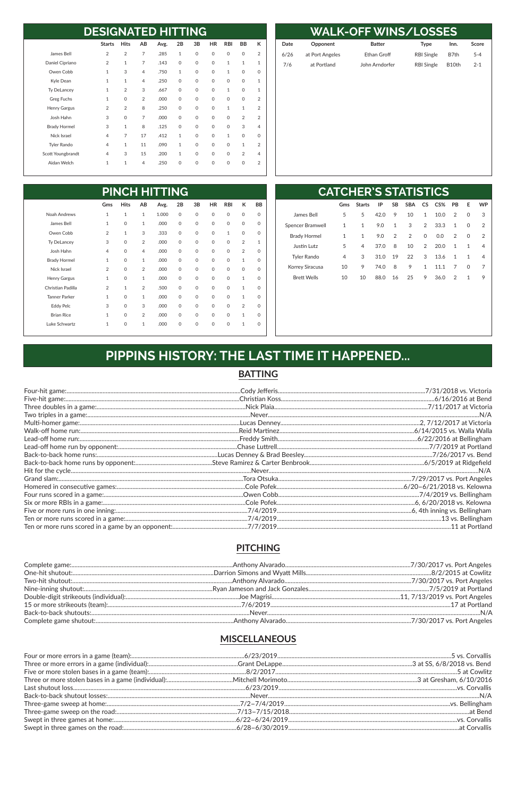| <b>DESIGNATED HITTING</b> |                |                |                |      |              |             |           |              |                |                |
|---------------------------|----------------|----------------|----------------|------|--------------|-------------|-----------|--------------|----------------|----------------|
|                           | <b>Starts</b>  | <b>Hits</b>    | AB             | Avg. | 2B           | 3B          | <b>HR</b> | <b>RBI</b>   | <b>BB</b>      | К              |
| James Bell                | 2              | $\overline{2}$ | $\overline{7}$ | .285 | $\mathbf{1}$ | $\Omega$    | $\Omega$  | 0            | $\mathbf 0$    | $\overline{2}$ |
| Daniel Cipriano           | $\overline{2}$ | $\mathbf{1}$   | $\overline{7}$ | .143 | $\mathbf 0$  | $\Omega$    | $\Omega$  | $\mathbf{1}$ | $\mathbf{1}$   | 1              |
| Owen Cobb                 | 1              | 3              | $\overline{4}$ | .750 | $\mathbf{1}$ | $\Omega$    | $\Omega$  | 1            | $\Omega$       | $\Omega$       |
| Kyle Dean                 | $\mathbf{1}$   | $\mathbf{1}$   | $\overline{4}$ | .250 | $\mathbf 0$  | $\Omega$    | $\Omega$  | 0            | $\Omega$       | 1              |
| <b>Ty DeLancey</b>        | 1              | $\overline{2}$ | 3              | .667 | $\mathbf 0$  | $\Omega$    | $\Omega$  | 1            | $\Omega$       | $\mathbf{1}$   |
| Greg Fuchs                | 1              | $\Omega$       | $\overline{2}$ | .000 | $\mathbf 0$  | $\Omega$    | $\Omega$  | $\Omega$     | $\Omega$       | 2              |
| Henry Gargus              | 2              | $\overline{2}$ | 8              | .250 | $\mathbf 0$  | $\Omega$    | $\Omega$  | $\mathbf{1}$ | $\mathbf{1}$   | 2              |
| Josh Hahn                 | 3              | $\Omega$       | $\overline{7}$ | .000 | $\mathbf 0$  | $\Omega$    | $\Omega$  | 0            | $\overline{2}$ | $\overline{2}$ |
| <b>Brady Hormel</b>       | 3              | 1              | 8              | .125 | $\mathbf 0$  | $\Omega$    | $\Omega$  | 0            | 3              | 4              |
| Nick Israel               | 4              | $\overline{7}$ | 17             | .412 | $\mathbf{1}$ | $\Omega$    | $\Omega$  | $\mathbf{1}$ | $\Omega$       | $\Omega$       |
| <b>Tyler Rando</b>        | 4              | $\mathbf{1}$   | 11             | .090 | $\mathbf{1}$ | $\Omega$    | $\Omega$  | 0            | 1              | $\overline{2}$ |
| Scott Youngbrandt         | $\overline{4}$ | 3              | 15             | .200 | $\mathbf{1}$ | $\Omega$    | $\Omega$  | $\Omega$     | $\overline{2}$ | 4              |
| Aidan Welch               | $\mathbf{1}$   | $\mathbf{1}$   | $\overline{4}$ | .250 | $\mathbf 0$  | $\mathbf 0$ | $\Omega$  | 0            | $\mathbf 0$    | $\overline{2}$ |

| <b>WALK-OFF WINS/LOSSES</b> |                 |                    |                   |       |         |  |  |  |  |  |  |
|-----------------------------|-----------------|--------------------|-------------------|-------|---------|--|--|--|--|--|--|
| Date                        | Opponent        | <b>Batter</b>      | <b>Type</b>       | Inn.  | Score   |  |  |  |  |  |  |
| 6/26                        | at Port Angeles | <b>Ethan Groff</b> | <b>RBI Single</b> | B7th  | $5 - 4$ |  |  |  |  |  |  |
| 7/6                         | at Portland     | John Arndorfer     | <b>RBI Single</b> | B10th | $2 - 1$ |  |  |  |  |  |  |
|                             |                 |                    |                   |       |         |  |  |  |  |  |  |
|                             |                 |                    |                   |       |         |  |  |  |  |  |  |
|                             |                 |                    |                   |       |         |  |  |  |  |  |  |
|                             |                 |                    |                   |       |         |  |  |  |  |  |  |
|                             |                 |                    |                   |       |         |  |  |  |  |  |  |
|                             |                 |                    |                   |       |         |  |  |  |  |  |  |
|                             |                 |                    |                   |       |         |  |  |  |  |  |  |
|                             |                 |                    |                   |       |         |  |  |  |  |  |  |
|                             |                 |                    |                   |       |         |  |  |  |  |  |  |
|                             |                 |                    |                   |       |         |  |  |  |  |  |  |

| <b>PINCH HITTING</b> |                |              |                |       |             |             |             |              |                |             |  |
|----------------------|----------------|--------------|----------------|-------|-------------|-------------|-------------|--------------|----------------|-------------|--|
|                      | Gms            | <b>Hits</b>  | AB             | Avg.  | 2B          | 3B          | <b>HR</b>   | <b>RBI</b>   | К              | <b>BB</b>   |  |
| Noah Andrews         | 1              | $\mathbf{1}$ | $\mathbf{1}$   | 1.000 | $\mathbf 0$ | $\Omega$    | $\mathbf 0$ | $\Omega$     | $\mathbf 0$    | $\mathbf 0$ |  |
| James Bell           | 1              | $\mathbf 0$  | $\mathbf{1}$   | .000  | $\mathbf 0$ | $\circ$     | $\mathbf 0$ | 0            | $\mathbf 0$    | $\mathbf 0$ |  |
| Owen Cobb            | $\overline{2}$ | $\mathbf{1}$ | 3              | .333  | $\mathbf 0$ | $\circ$     | $\mathbf 0$ | $\mathbf{1}$ | $\Omega$       | $\mathbf 0$ |  |
| <b>Ty DeLancey</b>   | 3              | $\Omega$     | 2              | .000  | $\mathbf 0$ | $\Omega$    | $\mathbf 0$ | $\Omega$     | $\overline{2}$ | 1           |  |
| Josh Hahn            | 4              | $\Omega$     | $\overline{4}$ | .000  | $\mathbf 0$ | $\Omega$    | $\mathbf 0$ | $\Omega$     | $\overline{2}$ | $\Omega$    |  |
| <b>Brady Hormel</b>  | 1              | $\mathbf 0$  | $\mathbf{1}$   | .000  | $\mathbf 0$ | $\mathbf 0$ | $\mathbf 0$ | 0            | $\mathbf{1}$   | $\mathbf 0$ |  |
| Nick Israel          | $\overline{2}$ | $\Omega$     | $\overline{2}$ | .000  | $\mathbf 0$ | $\Omega$    | $\mathbf 0$ | $\Omega$     | $\Omega$       | $\mathbf 0$ |  |
| Henry Gargus         | $\mathbf{1}$   | $\mathbf 0$  | $\mathbf{1}$   | .000  | $\mathbf 0$ | $\circ$     | $\mathbf 0$ | $\mathsf{O}$ | $\mathbf{1}$   | 0           |  |
| Christian Padilla    | $\overline{2}$ | $\mathbf{1}$ | $\overline{2}$ | .500  | $\mathbf 0$ | $\Omega$    | $\mathbf 0$ | $\Omega$     | $\mathbf{1}$   | $\Omega$    |  |
| <b>Tanner Parker</b> | 1              | $\mathbf 0$  | $\mathbf{1}$   | .000  | $\mathbf 0$ | $\circ$     | $\mathbf 0$ | $\mathsf{O}$ | $\mathbf{1}$   | $\mathbf 0$ |  |
| <b>Eddy Pelc</b>     | 3              | $\Omega$     | 3              | .000  | $\mathbf 0$ | $\Omega$    | $\mathbf 0$ | $\mathsf{O}$ | $\overline{2}$ | 0           |  |
| <b>Brian Rice</b>    | 1              | $\Omega$     | $\overline{2}$ | .000  | $\mathbf 0$ | $\Omega$    | $\mathbf 0$ | $\Omega$     | $\mathbf{1}$   | 0           |  |
| Luke Schwartz        | 1              | $\mathbf 0$  | $\mathbf{1}$   | .000  | 0           | $\mathbf 0$ | $\mathbf 0$ | 0            | $\mathbf{1}$   | 0           |  |

| <b>CATCHER'S STATISTICS</b> |
|-----------------------------|
|-----------------------------|

|                         | Gms            | <b>Starts</b> | IP   | <b>SB</b> | <b>SBA</b>     | CS.            | CS%  | <b>PB</b>    | Е            | <b>WP</b> |
|-------------------------|----------------|---------------|------|-----------|----------------|----------------|------|--------------|--------------|-----------|
| James Bell              | 5              | 5             | 42.0 | 9         | 10             | $\mathbf{1}$   | 10.0 | 2            | $\Omega$     | 3         |
| <b>Spencer Bramwell</b> | 1              | $\mathbf{1}$  | 9.0  | 1         | 3              | $\overline{2}$ | 33.3 | $\mathbf{1}$ | 0            | 2         |
| <b>Brady Hormel</b>     | 1              | $\mathbf{1}$  | 9.0  | 2         | $\overline{2}$ | $\mathsf{O}$   | 0.0  | 2            | 0            | 2         |
| Justin Lutz             | 5              | 4             | 37.0 | 8         | 10             | $\overline{2}$ | 20.0 | $\mathbf{1}$ | 1            | 4         |
| <b>Tyler Rando</b>      | $\overline{4}$ | 3             | 31.0 | 19        | 22             | 3              | 13.6 | $\mathbf{1}$ | 1            | 4         |
| Korrey Siracusa         | 10             | 9             | 74.0 | 8         | 9              | $\mathbf{1}$   | 11.1 | 7            | 0            | 7         |
| <b>Brett Wells</b>      | 10             | 10            | 88.0 | 16        | 25             | 9              | 36.0 | 2            | $\mathbf{1}$ | 9         |
|                         |                |               |      |           |                |                |      |              |              |           |
|                         |                |               |      |           |                |                |      |              |              |           |
|                         |                |               |      |           |                |                |      |              |              |           |

# PIPPINS HISTORY: THE LAST TIME IT HAPPENED...

#### **BATTING**

#### **PITCHING**

#### **MISCELLANEOUS**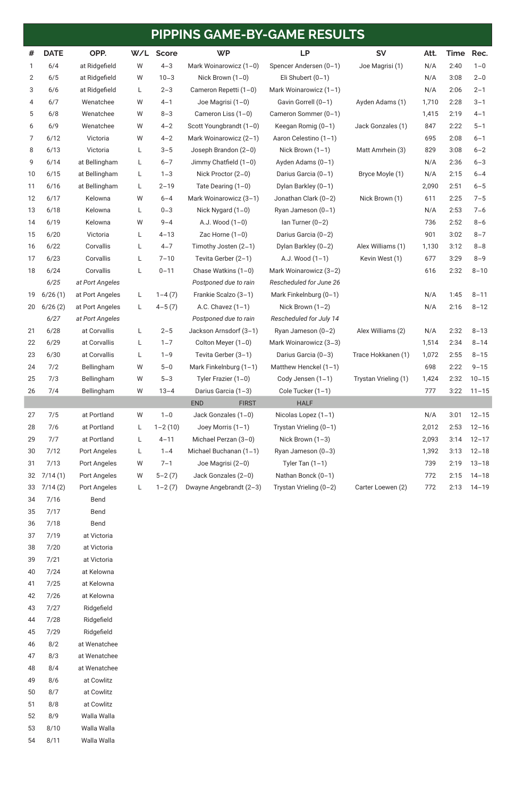| #              | <b>DATE</b>                               | OPP.            | W/L | <b>Score</b> | <b>WP</b>                | <b>LP</b>                                 | <b>SV</b>                | Att.  | Time | Rec.      |
|----------------|-------------------------------------------|-----------------|-----|--------------|--------------------------|-------------------------------------------|--------------------------|-------|------|-----------|
| 1              | 6/4                                       | at Ridgefield   | W   | $4 - 3$      | Mark Woinarowicz (1-0)   | Spencer Andersen (0-1)<br>Joe Magrisi (1) |                          | N/A   | 2:40 | $1 - 0$   |
| $\overline{2}$ | 6/5                                       | at Ridgefield   | W   | $10 - 3$     | Nick Brown $(1-0)$       | Eli Shubert $(0-1)$                       |                          | N/A   | 3:08 | $2 - 0$   |
| 3              | 6/6                                       | at Ridgefield   | L   | $2 - 3$      | Cameron Repetti (1-0)    | Mark Woinarowicz (1-1)                    |                          | N/A   | 2:06 | $2 - 1$   |
| 4              | 6/7                                       | Wenatchee       | W   | $4 - 1$      | Joe Magrisi (1-0)        | Gavin Gorrell (0-1)<br>Ayden Adams (1)    |                          | 1,710 | 2:28 | $3 - 1$   |
| 5              | 6/8                                       | Wenatchee       | W   | $8 - 3$      | Cameron Liss (1-0)       | Cameron Sommer (0-1)                      |                          | 1,415 | 2:19 | $4 - 1$   |
| 6              | 6/9                                       | Wenatchee       | W   | $4 - 2$      | Scott Youngbrandt (1-0)  | Keegan Romig (0-1)                        | Jack Gonzales (1)        | 847   | 2:22 | $5 - 1$   |
| 7              | 6/12                                      | Victoria        | W   | $4 - 2$      | Mark Woinarowicz (2-1)   | Aaron Celestino (1-1)                     |                          | 695   | 2:08 | $6 - 1$   |
| 8              | 6/13                                      | Victoria        | L   | $3 - 5$      | Joseph Brandon (2-0)     | Nick Brown $(1-1)$                        | Matt Amrhein (3)         | 829   | 3:08 | $6 - 2$   |
| 9              | 6/14                                      | at Bellingham   | L   | $6 - 7$      | Jimmy Chatfield (1-0)    | Ayden Adams (0-1)                         |                          | N/A   | 2:36 | $6 - 3$   |
| 10             | 6/15                                      | at Bellingham   | L   | $1 - 3$      | Nick Proctor (2-0)       | Darius Garcia (0-1)                       | Bryce Moyle (1)          | N/A   | 2:15 | $6 - 4$   |
| 11             | 6/16                                      | at Bellingham   | L   | $2 - 19$     | Tate Dearing $(1-0)$     | Dylan Barkley (0-1)                       |                          | 2,090 | 2:51 | $6 - 5$   |
| 12             | 6/17                                      | Kelowna         | W   | $6 - 4$      | Mark Woinarowicz (3-1)   | Jonathan Clark (0-2)                      | Nick Brown (1)           | 611   | 2:25 | $7 - 5$   |
| 13             | 6/18                                      | Kelowna         | L   | $0 - 3$      | Nick Nygard $(1-0)$      | Ryan Jameson (0-1)                        |                          | N/A   | 2:53 | $7 - 6$   |
| 14             | 6/19                                      | Kelowna         | W   | $9 - 4$      | A.J. Wood (1-0)          | lan Turner $(0-2)$                        |                          | 736   | 2:52 | $8 - 6$   |
| 15             | 6/20                                      | Victoria        | L   | $4 - 13$     | Zac Horne $(1-0)$        | Darius Garcia (0-2)                       |                          |       | 3:02 | $8 - 7$   |
| 16             | 6/22                                      | Corvallis       | L   | $4 - 7$      | Timothy Josten (2-1)     | Alex Williams (1)<br>Dylan Barkley (0-2)  |                          | 1,130 | 3:12 | $8 - 8$   |
| 17             | 6/23                                      | Corvallis       | L   | $7 - 10$     | Tevita Gerber (2-1)      | A.J. Wood (1-1)<br>Kevin West (1)         |                          | 677   | 3:29 | $8 - 9$   |
| 18             | 6/24                                      | Corvallis       | L   | $0 - 11$     | Chase Watkins $(1-0)$    | Mark Woinarowicz (3-2)                    |                          | 616   | 2:32 | $8 - 10$  |
|                | 6/25                                      | at Port Angeles |     |              | Postponed due to rain    | Rescheduled for June 26                   |                          |       |      |           |
| 19             | 6/26(1)                                   | at Port Angeles | L   | $1 - 4(7)$   | Frankie Scalzo (3-1)     | Mark Finkelnburg (0-1)                    |                          | N/A   | 1:45 | $8 - 11$  |
| 20             | 6/26(2)                                   | at Port Angeles | L   | $4-5(7)$     | A.C. Chavez $(1-1)$      | Nick Brown $(1-2)$                        |                          | N/A   | 2:16 | $8 - 12$  |
|                | 6/27                                      | at Port Angeles |     |              | Postponed due to rain    | Rescheduled for July 14                   |                          |       |      |           |
| 21             | 6/28                                      | at Corvallis    | L   | $2 - 5$      | Jackson Arnsdorf (3-1)   | Ryan Jameson (0-2)                        | Alex Williams (2)        |       | 2:32 | $8 - 13$  |
| 22             | 6/29                                      | at Corvallis    | L   | $1 - 7$      | Colton Meyer (1-0)       | Mark Woinarowicz (3-3)                    |                          | 1,514 | 2:34 | $8 - 14$  |
| 23             | 6/30                                      | at Corvallis    | L.  | $1 - 9$      | Tevita Gerber (3-1)      | Darius Garcia (0-3)                       | Trace Hokkanen (1)       | 1,072 | 2:55 | $8 - 15$  |
| 24             | 7/2                                       | Bellingham      | W   | $5 - 0$      | Mark Finkelnburg $(1-1)$ | Matthew Henckel (1-1)                     |                          | 698   | 2:22 | $9 - 15$  |
| 25             | 7/3                                       | Bellingham      | W   | $5 - 3$      | Tyler Frazier $(1-0)$    | Cody Jensen (1-1)                         | Trystan Vrieling (1)     | 1,424 | 2:32 | $10 - 15$ |
| 26             | 7/4                                       | Bellingham      | W   | $13 - 4$     | Darius Garcia (1-3)      | Cole Tucker (1-1)                         |                          | 777   | 3:22 | $11 - 15$ |
|                | <b>END</b><br><b>HALF</b><br><b>FIRST</b> |                 |     |              |                          |                                           |                          |       |      |           |
| 27             | 7/5                                       | at Portland     | W   | $1 - 0$      | Jack Gonzales (1-0)      | Nicolas Lopez (1-1)                       |                          | N/A   | 3:01 | $12 - 15$ |
| 28             | 7/6                                       | at Portland     | L   | $1 - 2(10)$  | Joey Morris (1-1)        | Trystan Vrieling (0-1)                    |                          | 2,012 | 2:53 | $12 - 16$ |
| 29             | 7/7                                       | at Portland     | L   | $4 - 11$     | Michael Perzan (3-0)     | Nick Brown $(1-3)$                        |                          | 2,093 | 3:14 | $12 - 17$ |
| 30             | 7/12                                      | Port Angeles    | L   | $1 - 4$      | Michael Buchanan (1-1)   | Ryan Jameson (0-3)                        |                          | 1,392 | 3:13 | $12 - 18$ |
| 31             | 7/13                                      | Port Angeles    | W   | $7 - 1$      | Joe Magrisi (2-0)        | Tyler Tan $(1-1)$                         | 739                      |       | 2:19 | $13 - 18$ |
| 32             | 7/14(1)                                   | Port Angeles    | W   | $5 - 2(7)$   | Jack Gonzales (2-0)      | Nathan Bonck (0-1)                        | 772                      |       | 2:15 | $14 - 18$ |
| 33             | 7/14(2)                                   | Port Angeles    | L   | $1 - 2(7)$   | Dwayne Angebrandt (2-3)  | Trystan Vrieling (0-2)                    | Carter Loewen (2)<br>772 |       | 2:13 | $14 - 19$ |
| 34             | 7/16                                      | Bend            |     |              |                          |                                           |                          |       |      |           |
| 35             | 7/17                                      | Bend            |     |              |                          |                                           |                          |       |      |           |
| 36             | 7/18                                      | Bend            |     |              |                          |                                           |                          |       |      |           |
| 37             | 7/19                                      | at Victoria     |     |              |                          |                                           |                          |       |      |           |

 7/20 at Victoria 7/21 at Victoria

7/24 at Kelowna

7/25 at Kelowna

| 42 | 7/26 | at Kelowna   |
|----|------|--------------|
| 43 | 7/27 | Ridgefield   |
| 44 | 7/28 | Ridgefield   |
| 45 | 7/29 | Ridgefield   |
| 46 | 8/2  | at Wenatchee |
| 47 | 8/3  | at Wenatchee |
| 48 | 8/4  | at Wenatchee |
| 49 | 8/6  | at Cowlitz   |
| 50 | 8/7  | at Cowlitz   |
| 51 | 8/8  | at Cowlitz   |
| 52 | 8/9  | Walla Walla  |
| 53 | 8/10 | Walla Walla  |
| 54 | 8/11 | Walla Walla  |

# **PIPPINS GAME-BY-GAME RESULTS**